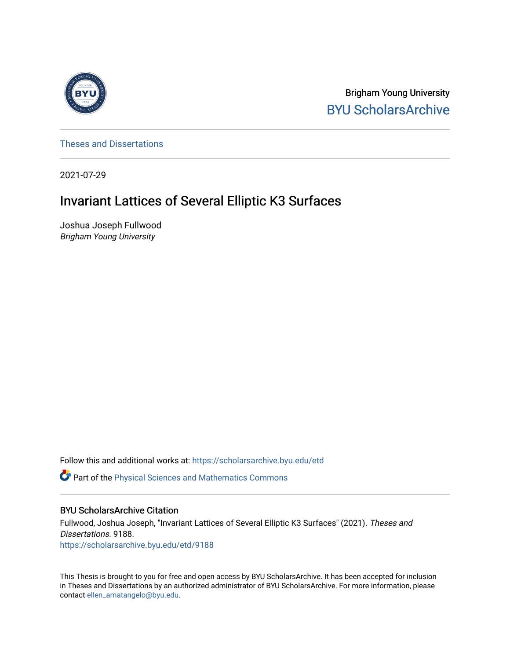

Brigham Young University [BYU ScholarsArchive](https://scholarsarchive.byu.edu/) 

[Theses and Dissertations](https://scholarsarchive.byu.edu/etd)

2021-07-29

# Invariant Lattices of Several Elliptic K3 Surfaces

Joshua Joseph Fullwood Brigham Young University

Follow this and additional works at: [https://scholarsarchive.byu.edu/etd](https://scholarsarchive.byu.edu/etd?utm_source=scholarsarchive.byu.edu%2Fetd%2F9188&utm_medium=PDF&utm_campaign=PDFCoverPages)

**C** Part of the Physical Sciences and Mathematics Commons

#### BYU ScholarsArchive Citation

Fullwood, Joshua Joseph, "Invariant Lattices of Several Elliptic K3 Surfaces" (2021). Theses and Dissertations. 9188. [https://scholarsarchive.byu.edu/etd/9188](https://scholarsarchive.byu.edu/etd/9188?utm_source=scholarsarchive.byu.edu%2Fetd%2F9188&utm_medium=PDF&utm_campaign=PDFCoverPages) 

This Thesis is brought to you for free and open access by BYU ScholarsArchive. It has been accepted for inclusion in Theses and Dissertations by an authorized administrator of BYU ScholarsArchive. For more information, please contact [ellen\\_amatangelo@byu.edu.](mailto:ellen_amatangelo@byu.edu)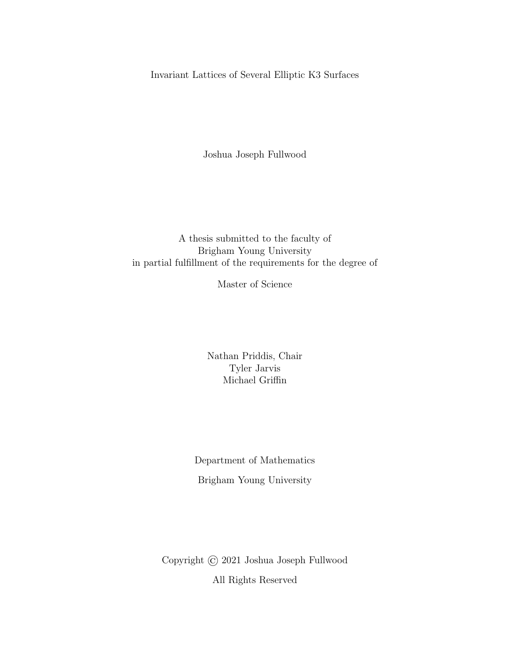Invariant Lattices of Several Elliptic K3 Surfaces

Joshua Joseph Fullwood

## A thesis submitted to the faculty of Brigham Young University in partial fulfillment of the requirements for the degree of

Master of Science

Nathan Priddis, Chair Tyler Jarvis Michael Griffin

Department of Mathematics Brigham Young University

Copyright © 2021 Joshua Joseph Fullwood All Rights Reserved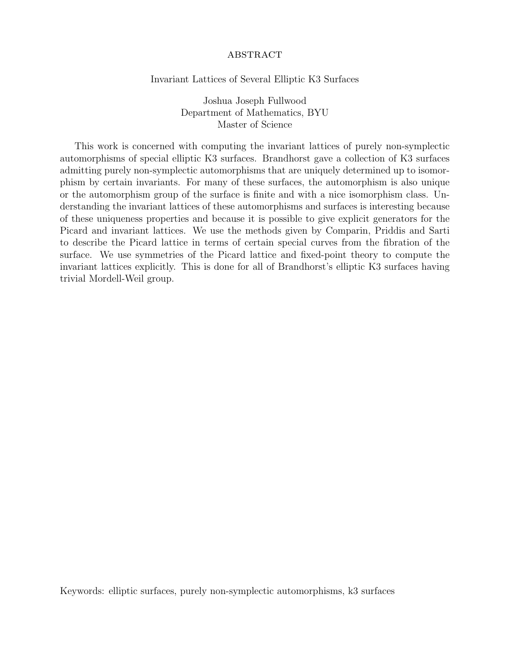#### **ABSTRACT**

#### Invariant Lattices of Several Elliptic K3 Surfaces

Joshua Joseph Fullwood Department of Mathematics, BYU Master of Science

This work is concerned with computing the invariant lattices of purely non-symplectic automorphisms of special elliptic K3 surfaces. Brandhorst gave a collection of K3 surfaces admitting purely non-symplectic automorphisms that are uniquely determined up to isomorphism by certain invariants. For many of these surfaces, the automorphism is also unique or the automorphism group of the surface is finite and with a nice isomorphism class. Understanding the invariant lattices of these automorphisms and surfaces is interesting because of these uniqueness properties and because it is possible to give explicit generators for the Picard and invariant lattices. We use the methods given by Comparin, Priddis and Sarti to describe the Picard lattice in terms of certain special curves from the fibration of the surface. We use symmetries of the Picard lattice and fixed-point theory to compute the invariant lattices explicitly. This is done for all of Brandhorst's elliptic K3 surfaces having trivial Mordell-Weil group.

Keywords: elliptic surfaces, purely non-symplectic automorphisms, k3 surfaces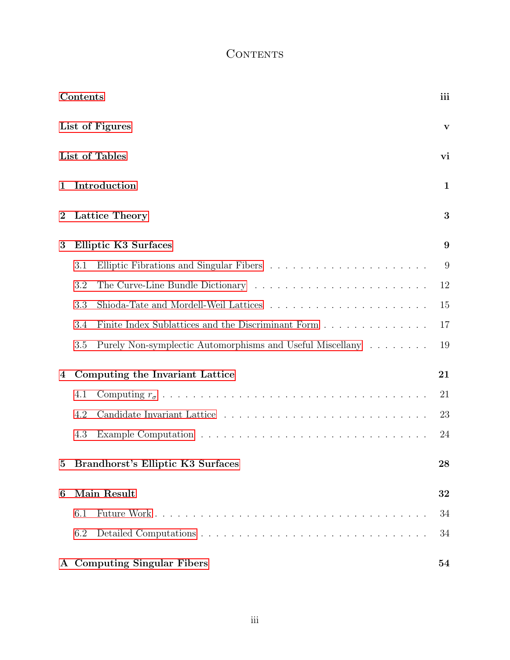# **CONTENTS**

<span id="page-3-0"></span>

|          | Contents |                                                           | iii          |
|----------|----------|-----------------------------------------------------------|--------------|
|          |          | List of Figures                                           | $\mathbf{V}$ |
|          |          | List of Tables                                            | vi           |
| 1        |          | Introduction                                              | $\mathbf{1}$ |
| $\bf{2}$ |          | Lattice Theory                                            | 3            |
| 3        |          | <b>Elliptic K3 Surfaces</b>                               | 9            |
|          | 3.1      |                                                           | 9            |
|          | 3.2      |                                                           | 12           |
|          | 3.3      |                                                           | 15           |
|          | 3.4      | Finite Index Sublattices and the Discriminant Form        | 17           |
|          | 3.5      | Purely Non-symplectic Automorphisms and Useful Miscellany | 19           |
| 4        |          | Computing the Invariant Lattice                           | 21           |
|          | 4.1      |                                                           | 21           |
|          | 4.2      |                                                           | 23           |
|          | 4.3      |                                                           | 24           |
|          |          | Brandhorst's Elliptic K3 Surfaces                         | 28           |
| 6        |          | Main Result                                               | 32           |
|          | 6.1      |                                                           | 34           |
|          | 6.2      |                                                           | 34           |
|          |          | A Computing Singular Fibers                               | 54           |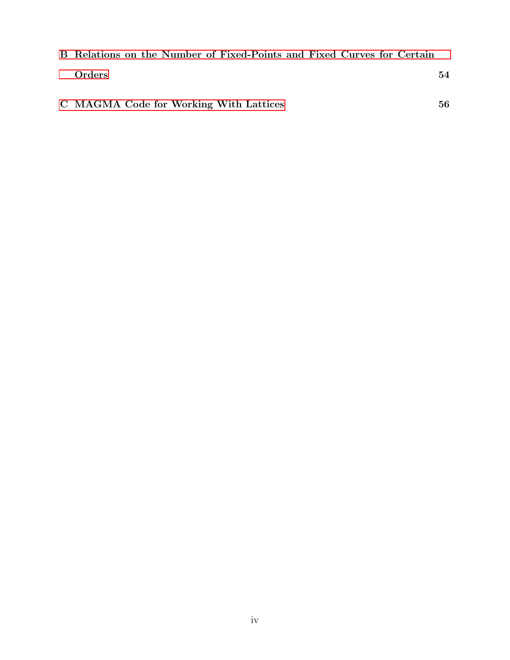| B Relations on the Number of Fixed-Points and Fixed Curves for Certain |  |  |  |  |    |
|------------------------------------------------------------------------|--|--|--|--|----|
| Orders                                                                 |  |  |  |  | 54 |
| C MAGMA Code for Working With Lattices                                 |  |  |  |  | 56 |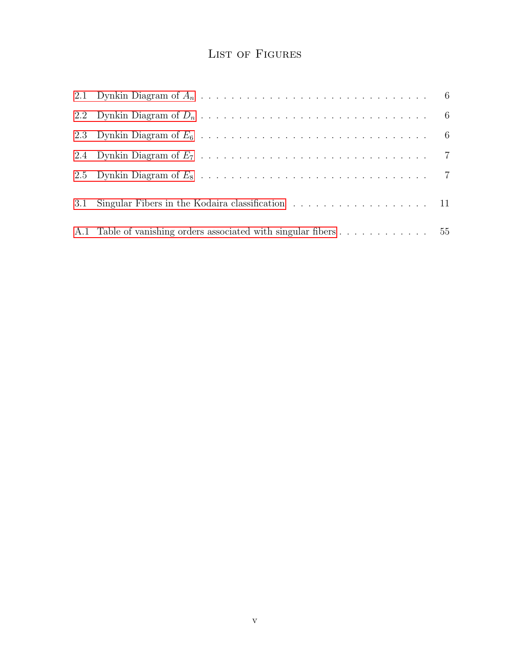# LIST OF FIGURES

<span id="page-5-0"></span>

| 3.1 Singular Fibers in the Kodaira classification 11             |  |
|------------------------------------------------------------------|--|
| A.1 Table of vanishing orders associated with singular fibers 55 |  |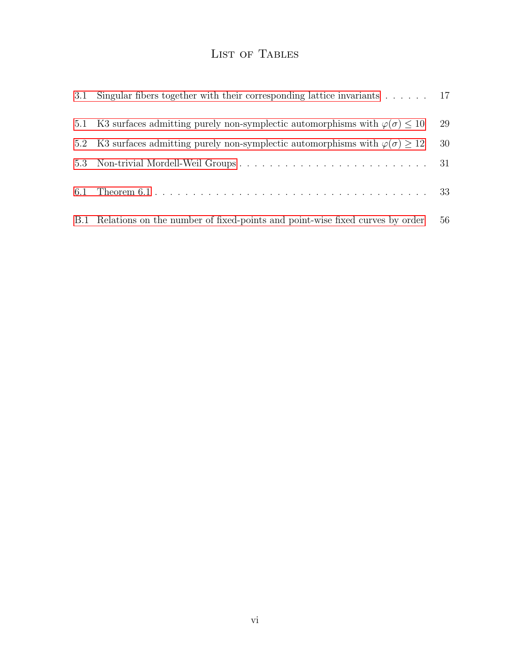# LIST OF TABLES

<span id="page-6-0"></span>

| 3.1 | Singular fibers together with their corresponding lattice invariants $\dots \dots$ 17        |    |
|-----|----------------------------------------------------------------------------------------------|----|
| 5.1 | K3 surfaces admitting purely non-symplectic automorphisms with $\varphi(\sigma) \leq 10$     | 29 |
|     | 5.2 K3 surfaces admitting purely non-symplectic automorphisms with $\varphi(\sigma) \geq 12$ | 30 |
|     |                                                                                              |    |
|     |                                                                                              |    |
|     | B.1 Relations on the number of fixed-points and point-wise fixed curves by order             | 56 |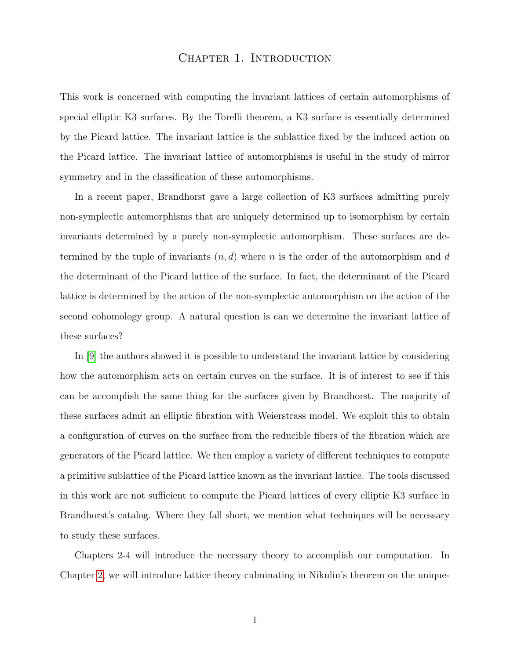#### CHAPTER 1. INTRODUCTION

<span id="page-7-0"></span>This work is concerned with computing the invariant lattices of certain automorphisms of special elliptic K3 surfaces. By the Torelli theorem, a K3 surface is essentially determined by the Picard lattice. The invariant lattice is the sublattice fixed by the induced action on the Picard lattice. The invariant lattice of automorphisms is useful in the study of mirror symmetry and in the classification of these automorphisms.

In a recent paper, Brandhorst gave a large collection of K3 surfaces admitting purely non-symplectic automorphisms that are uniquely determined up to isomorphism by certain invariants determined by a purely non-symplectic automorphism. These surfaces are determined by the tuple of invariants  $(n, d)$  where n is the order of the automorphism and d the determinant of the Picard lattice of the surface. In fact, the determinant of the Picard lattice is determined by the action of the non-symplectic automorphism on the action of the second cohomology group. A natural question is can we determine the invariant lattice of these surfaces?

In [\[9\]](#page-65-0) the authors showed it is possible to understand the invariant lattice by considering how the automorphism acts on certain curves on the surface. It is of interest to see if this can be accomplish the same thing for the surfaces given by Brandhorst. The majority of these surfaces admit an elliptic fibration with Weierstrass model. We exploit this to obtain a configuration of curves on the surface from the reducible fibers of the fibration which are generators of the Picard lattice. We then employ a variety of different techniques to compute a primitive sublattice of the Picard lattice known as the invariant lattice. The tools discussed in this work are not sufficient to compute the Picard lattices of every elliptic K3 surface in Brandhorst's catalog. Where they fall short, we mention what techniques will be necessary to study these surfaces.

Chapters 2-4 will introduce the necessary theory to accomplish our computation. In Chapter [2,](#page-9-0) we will introduce lattice theory culminating in Nikulin's theorem on the unique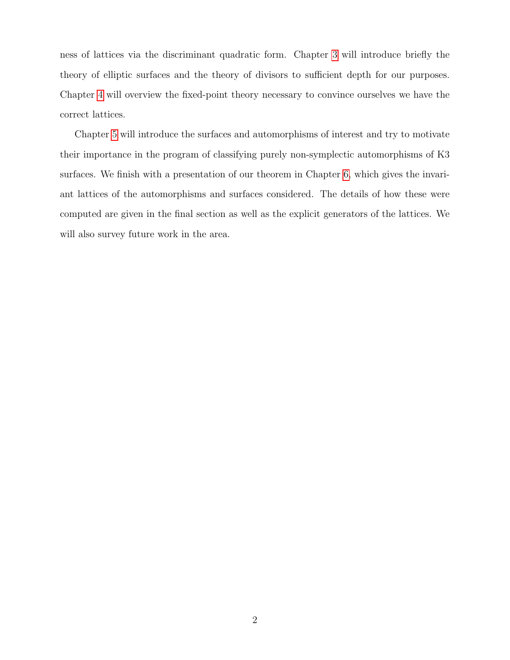ness of lattices via the discriminant quadratic form. Chapter [3](#page-15-0) will introduce briefly the theory of elliptic surfaces and the theory of divisors to sufficient depth for our purposes. Chapter [4](#page-27-0) will overview the fixed-point theory necessary to convince ourselves we have the correct lattices.

Chapter [5](#page-34-0) will introduce the surfaces and automorphisms of interest and try to motivate their importance in the program of classifying purely non-symplectic automorphisms of K3 surfaces. We finish with a presentation of our theorem in Chapter [6,](#page-38-0) which gives the invariant lattices of the automorphisms and surfaces considered. The details of how these were computed are given in the final section as well as the explicit generators of the lattices. We will also survey future work in the area.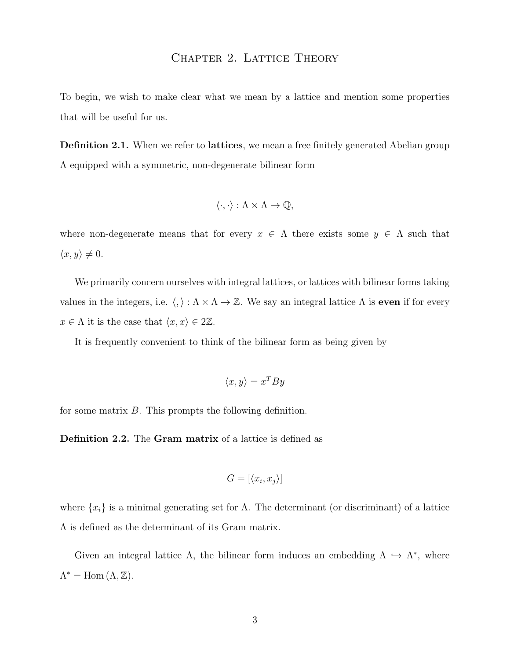## CHAPTER 2. LATTICE THEORY

<span id="page-9-0"></span>To begin, we wish to make clear what we mean by a lattice and mention some properties that will be useful for us.

**Definition 2.1.** When we refer to **lattices**, we mean a free finitely generated Abelian group Λ equipped with a symmetric, non-degenerate bilinear form

$$
\langle \cdot, \cdot \rangle : \Lambda \times \Lambda \to \mathbb{Q},
$$

where non-degenerate means that for every  $x \in \Lambda$  there exists some  $y \in \Lambda$  such that  $\langle x, y \rangle \neq 0.$ 

We primarily concern ourselves with integral lattices, or lattices with bilinear forms taking values in the integers, i.e.  $\langle , \rangle : \Lambda \times \Lambda \to \mathbb{Z}$ . We say an integral lattice  $\Lambda$  is even if for every  $x \in \Lambda$  it is the case that  $\langle x, x \rangle \in 2\mathbb{Z}$ .

It is frequently convenient to think of the bilinear form as being given by

$$
\langle x, y \rangle = x^T B y
$$

for some matrix B. This prompts the following definition.

Definition 2.2. The Gram matrix of a lattice is defined as

$$
G = [\langle x_i, x_j \rangle]
$$

where  $\{x_i\}$  is a minimal generating set for  $\Lambda$ . The determinant (or discriminant) of a lattice Λ is defined as the determinant of its Gram matrix.

Given an integral lattice  $\Lambda$ , the bilinear form induces an embedding  $\Lambda \hookrightarrow \Lambda^*$ , where  $\Lambda^* = \text{Hom}(\Lambda, \mathbb{Z}).$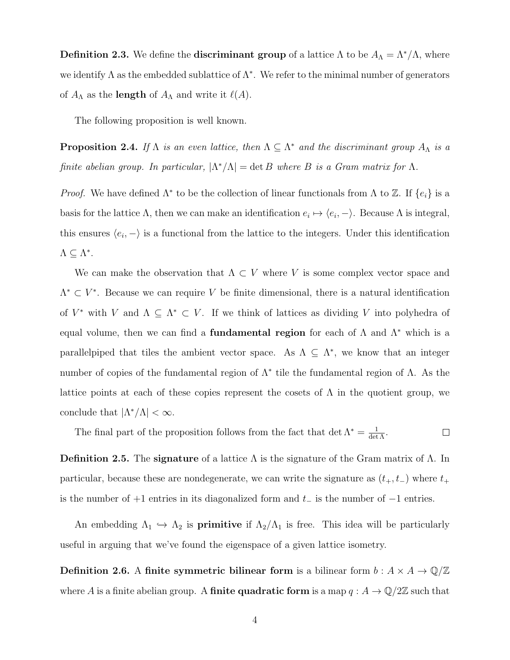**Definition 2.3.** We define the **discriminant group** of a lattice  $\Lambda$  to be  $A_{\Lambda} = \Lambda^* / \Lambda$ , where we identify  $\Lambda$  as the embedded sublattice of  $\Lambda^*$ . We refer to the minimal number of generators of  $A_{\Lambda}$  as the **length** of  $A_{\Lambda}$  and write it  $\ell(A)$ .

The following proposition is well known.

**Proposition 2.4.** If  $\Lambda$  is an even lattice, then  $\Lambda \subseteq \Lambda^*$  and the discriminant group  $A_{\Lambda}$  is a finite abelian group. In particular,  $|\Lambda^*/\Lambda| = \det B$  where B is a Gram matrix for  $\Lambda$ .

*Proof.* We have defined  $\Lambda^*$  to be the collection of linear functionals from  $\Lambda$  to  $\mathbb{Z}$ . If  $\{e_i\}$  is a basis for the lattice  $\Lambda$ , then we can make an identification  $e_i \mapsto \langle e_i, -\rangle$ . Because  $\Lambda$  is integral, this ensures  $\langle e_i, - \rangle$  is a functional from the lattice to the integers. Under this identification  $\Lambda \subseteq \Lambda^*$ .

We can make the observation that  $\Lambda \subset V$  where V is some complex vector space and  $\Lambda^* \subset V^*$ . Because we can require V be finite dimensional, there is a natural identification of  $V^*$  with V and  $\Lambda \subseteq \Lambda^* \subset V$ . If we think of lattices as dividing V into polyhedra of equal volume, then we can find a **fundamental region** for each of  $\Lambda$  and  $\Lambda^*$  which is a parallelpiped that tiles the ambient vector space. As  $\Lambda \subseteq \Lambda^*$ , we know that an integer number of copies of the fundamental region of  $\Lambda^*$  tile the fundamental region of  $\Lambda$ . As the lattice points at each of these copies represent the cosets of  $\Lambda$  in the quotient group, we conclude that  $|\Lambda^*/\Lambda| < \infty$ .

The final part of the proposition follows from the fact that  $\det \Lambda^* = \frac{1}{\det \Lambda}$ .  $\Box$ 

**Definition 2.5.** The **signature** of a lattice  $\Lambda$  is the signature of the Gram matrix of  $\Lambda$ . In particular, because these are nondegenerate, we can write the signature as  $(t_{+}, t_{-})$  where  $t_{+}$ is the number of  $+1$  entries in its diagonalized form and  $t_-\$  is the number of  $-1$  entries.

An embedding  $\Lambda_1 \hookrightarrow \Lambda_2$  is **primitive** if  $\Lambda_2/\Lambda_1$  is free. This idea will be particularly useful in arguing that we've found the eigenspace of a given lattice isometry.

**Definition 2.6.** A finite symmetric bilinear form is a bilinear form  $b : A \times A \rightarrow \mathbb{Q}/\mathbb{Z}$ where A is a finite abelian group. A **finite quadratic form** is a map  $q : A \to \mathbb{Q}/2\mathbb{Z}$  such that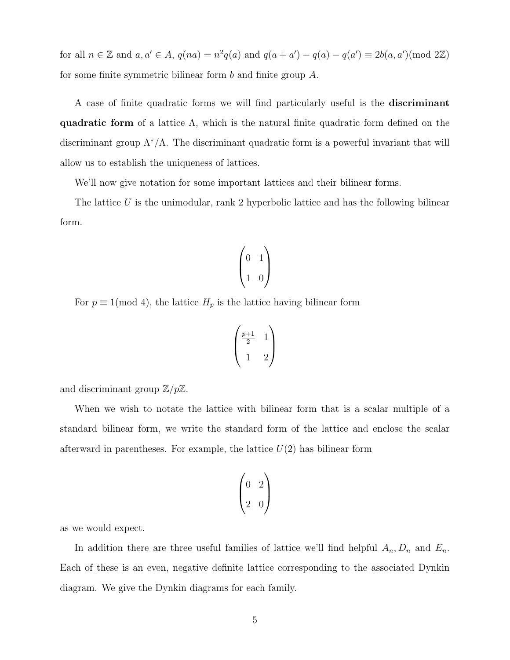for all  $n \in \mathbb{Z}$  and  $a, a' \in A$ ,  $q(na) = n^2q(a)$  and  $q(a + a') - q(a) - q(a') \equiv 2b(a, a')(mod 2\mathbb{Z})$ for some finite symmetric bilinear form b and finite group A.

A case of finite quadratic forms we will find particularly useful is the discriminant quadratic form of a lattice  $\Lambda$ , which is the natural finite quadratic form defined on the discriminant group  $\Lambda^*/\Lambda$ . The discriminant quadratic form is a powerful invariant that will allow us to establish the uniqueness of lattices.

We'll now give notation for some important lattices and their bilinear forms.

The lattice  $U$  is the unimodular, rank 2 hyperbolic lattice and has the following bilinear form.

$$
\begin{pmatrix} 0 & 1 \\ 1 & 0 \end{pmatrix}
$$

For  $p \equiv 1 \pmod{4}$ , the lattice  $H_p$  is the lattice having bilinear form

$$
\begin{pmatrix}\n\frac{p+1}{2} & 1 \\
1 & 2\n\end{pmatrix}
$$

and discriminant group  $\mathbb{Z}/p\mathbb{Z}$ .

When we wish to notate the lattice with bilinear form that is a scalar multiple of a standard bilinear form, we write the standard form of the lattice and enclose the scalar afterward in parentheses. For example, the lattice  $U(2)$  has bilinear form

$$
\begin{pmatrix} 0 & 2 \\ 2 & 0 \end{pmatrix}
$$

as we would expect.

In addition there are three useful families of lattice we'll find helpful  $A_n, D_n$  and  $E_n$ . Each of these is an even, negative definite lattice corresponding to the associated Dynkin diagram. We give the Dynkin diagrams for each family.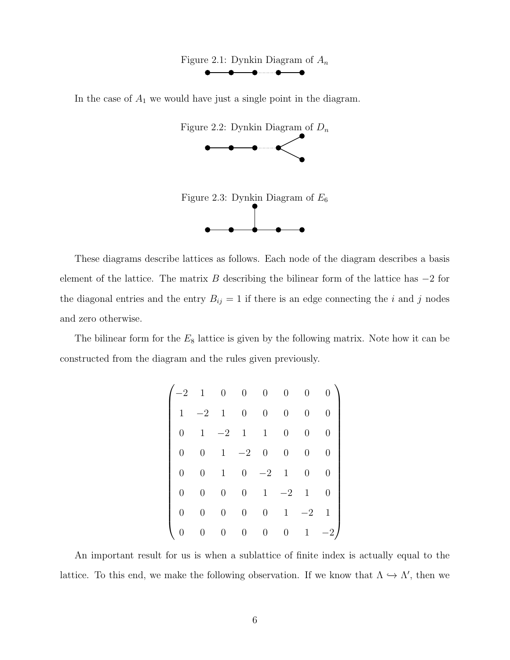<span id="page-12-0"></span>

In the case of  $A_1$  we would have just a single point in the diagram.

<span id="page-12-2"></span><span id="page-12-1"></span>



element of the lattice. The matrix B describing the bilinear form of the lattice has  $-2$  for the diagonal entries and the entry  $B_{ij} = 1$  if there is an edge connecting the i and j nodes and zero otherwise.

The bilinear form for the  $E_8$  lattice is given by the following matrix. Note how it can be constructed from the diagram and the rules given previously.

| $\cdot 2$ | $\mathbf{1}$     | $\theta$         | $\overline{0}$   | $\overline{0}$   | $\overline{0}$   | $\overline{0}$   | 0                |
|-----------|------------------|------------------|------------------|------------------|------------------|------------------|------------------|
| 1         | $-2$             | $\mathbf{1}$     | $\boldsymbol{0}$ | $\boldsymbol{0}$ | 0                | $\overline{0}$   | $\overline{0}$   |
|           | 1                | $-{\bf 2}$       | $\mathbf 1$      | $\mathbf{1}$     | $\boldsymbol{0}$ | $\overline{0}$   | $\overline{0}$   |
| 0         | $\boldsymbol{0}$ | $\mathbf 1$      | $-2\,$           | $\boldsymbol{0}$ | 0                | 0                | $\overline{0}$   |
| 0         | 0                | 1                | $\overline{0}$   | $-2$             | $\mathbf 1$      | $\boldsymbol{0}$ | $\overline{0}$   |
|           | 0                | 0                | $\boldsymbol{0}$ | $\mathbf{1}$     | $-2$             | $\mathbf{1}$     | $\boldsymbol{0}$ |
|           | 0                | 0                | $\boldsymbol{0}$ | $\boldsymbol{0}$ | $\mathbf 1$      | $-2$             | 1                |
|           | $\overline{0}$   | $\boldsymbol{0}$ | $\overline{0}$   | $\overline{0}$   | 0                | 1                | 2                |

An important result for us is when a sublattice of finite index is actually equal to the lattice. To this end, we make the following observation. If we know that  $\Lambda \hookrightarrow \Lambda'$ , then we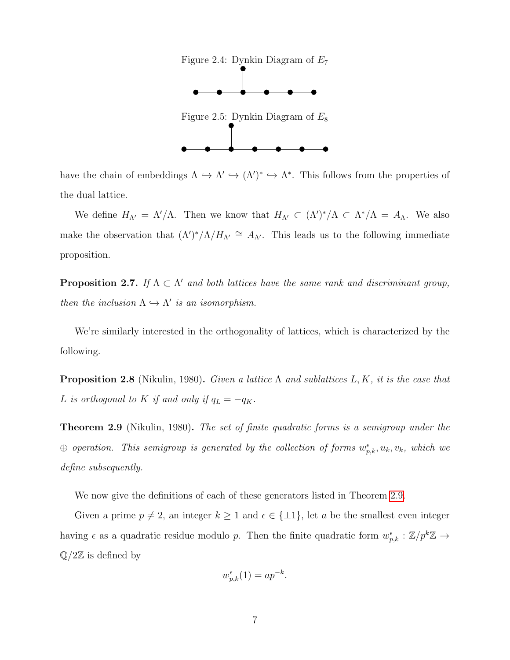<span id="page-13-1"></span><span id="page-13-0"></span>

have the chain of embeddings  $\Lambda \hookrightarrow \Lambda' \hookrightarrow (\Lambda')^* \hookrightarrow \Lambda^*$ . This follows from the properties of the dual lattice.

We define  $H_{\Lambda'} = \Lambda'/\Lambda$ . Then we know that  $H_{\Lambda'} \subset (\Lambda')^*/\Lambda \subset \Lambda^*/\Lambda = A_{\Lambda}$ . We also make the observation that  $(\Lambda')^*/\Lambda/H_{\Lambda'} \cong A_{\Lambda'}$ . This leads us to the following immediate proposition.

<span id="page-13-3"></span>**Proposition 2.7.** If  $\Lambda \subset \Lambda'$  and both lattices have the same rank and discriminant group, then the inclusion  $\Lambda \hookrightarrow \Lambda'$  is an isomorphism.

We're similarly interested in the orthogonality of lattices, which is characterized by the following.

**Proposition 2.8** (Nikulin, 1980). Given a lattice  $\Lambda$  and sublattices  $L, K$ , it is the case that L is orthogonal to K if and only if  $q_L = -q_K$ .

<span id="page-13-2"></span>**Theorem 2.9** (Nikulin, 1980). The set of finite quadratic forms is a semigroup under the  $\oplus$  operation. This semigroup is generated by the collection of forms  $w_{p,k}^{\epsilon}, u_k, v_k$ , which we define subsequently.

We now give the definitions of each of these generators listed in Theorem [2.9.](#page-13-2)

Given a prime  $p \neq 2$ , an integer  $k \geq 1$  and  $\epsilon \in {\pm 1}$ , let a be the smallest even integer having  $\epsilon$  as a quadratic residue modulo p. Then the finite quadratic form  $w_{p,k}^{\epsilon} : \mathbb{Z}/p^k\mathbb{Z} \to$  $\mathbb{Q}/2\mathbb{Z}$  is defined by

$$
w_{p,k}^{\epsilon}(1) = ap^{-k}.
$$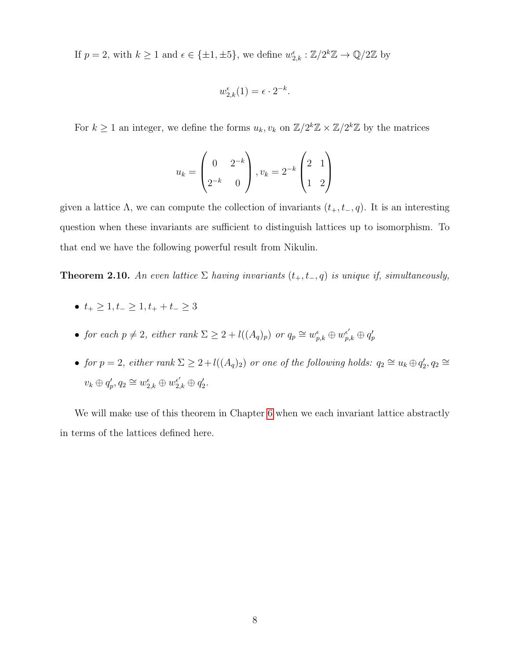If  $p = 2$ , with  $k \ge 1$  and  $\epsilon \in {\pm 1, \pm 5}$ , we define  $w_{2,k}^{\epsilon} : \mathbb{Z}/2^k \mathbb{Z} \to \mathbb{Q}/2\mathbb{Z}$  by

$$
w_{2,k}^{\epsilon}(1) = \epsilon \cdot 2^{-k}.
$$

For  $k \geq 1$  an integer, we define the forms  $u_k, v_k$  on  $\mathbb{Z}/2^k\mathbb{Z} \times \mathbb{Z}/2^k\mathbb{Z}$  by the matrices

$$
u_k = \begin{pmatrix} 0 & 2^{-k} \\ 2^{-k} & 0 \end{pmatrix}, v_k = 2^{-k} \begin{pmatrix} 2 & 1 \\ 1 & 2 \end{pmatrix}
$$

given a lattice  $\Lambda$ , we can compute the collection of invariants  $(t_{+}, t_{-}, q)$ . It is an interesting question when these invariants are sufficient to distinguish lattices up to isomorphism. To that end we have the following powerful result from Nikulin.

**Theorem 2.10.** An even lattice  $\Sigma$  having invariants  $(t_{+}, t_{-}, q)$  is unique if, simultaneously,

- $t_+ \geq 1, t_- \geq 1, t_+ + t_- \geq 3$
- for each  $p \neq 2$ , either rank  $\Sigma \geq 2 + l((A_q)_p)$  or  $q_p \cong w_{p,k}^{\epsilon} \oplus w_{p,k}^{\epsilon'} \oplus q_p'$
- for  $p = 2$ , either rank  $\Sigma \geq 2 + l((A_q)_2)$  or one of the following holds:  $q_2 \cong u_k \oplus q'_2$ ,  $q_2 \cong$  $v_k \oplus q'_p, q_2 \cong w_{2,k}^{\epsilon} \oplus w_{2,k}^{\epsilon'} \oplus q'_2.$

We will make use of this theorem in Chapter [6](#page-38-0) when we each invariant lattice abstractly in terms of the lattices defined here.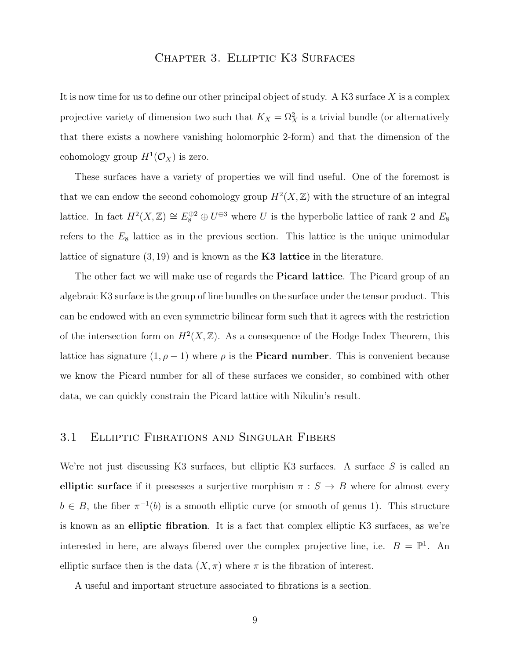## Chapter 3. Elliptic K3 Surfaces

<span id="page-15-0"></span>It is now time for us to define our other principal object of study. A K3 surface  $X$  is a complex projective variety of dimension two such that  $K_X = \Omega_X^2$  is a trivial bundle (or alternatively that there exists a nowhere vanishing holomorphic 2-form) and that the dimension of the cohomology group  $H^1(\mathcal{O}_X)$  is zero.

These surfaces have a variety of properties we will find useful. One of the foremost is that we can endow the second cohomology group  $H^2(X,\mathbb{Z})$  with the structure of an integral lattice. In fact  $H^2(X,\mathbb{Z}) \cong E_8^{\oplus 2} \oplus U^{\oplus 3}$  where U is the hyperbolic lattice of rank 2 and  $E_8$ refers to the  $E_8$  lattice as in the previous section. This lattice is the unique unimodular lattice of signature  $(3, 19)$  and is known as the **K3 lattice** in the literature.

The other fact we will make use of regards the **Picard lattice**. The Picard group of an algebraic K3 surface is the group of line bundles on the surface under the tensor product. This can be endowed with an even symmetric bilinear form such that it agrees with the restriction of the intersection form on  $H^2(X,\mathbb{Z})$ . As a consequence of the Hodge Index Theorem, this lattice has signature  $(1, \rho - 1)$  where  $\rho$  is the **Picard number**. This is convenient because we know the Picard number for all of these surfaces we consider, so combined with other data, we can quickly constrain the Picard lattice with Nikulin's result.

#### <span id="page-15-1"></span>3.1 Elliptic Fibrations and Singular Fibers

We're not just discussing K3 surfaces, but elliptic K3 surfaces. A surface  $S$  is called an elliptic surface if it possesses a surjective morphism  $\pi : S \to B$  where for almost every  $b \in B$ , the fiber  $\pi^{-1}(b)$  is a smooth elliptic curve (or smooth of genus 1). This structure is known as an elliptic fibration. It is a fact that complex elliptic K3 surfaces, as we're interested in here, are always fibered over the complex projective line, i.e.  $B = \mathbb{P}^1$ . An elliptic surface then is the data  $(X, \pi)$  where  $\pi$  is the fibration of interest.

A useful and important structure associated to fibrations is a section.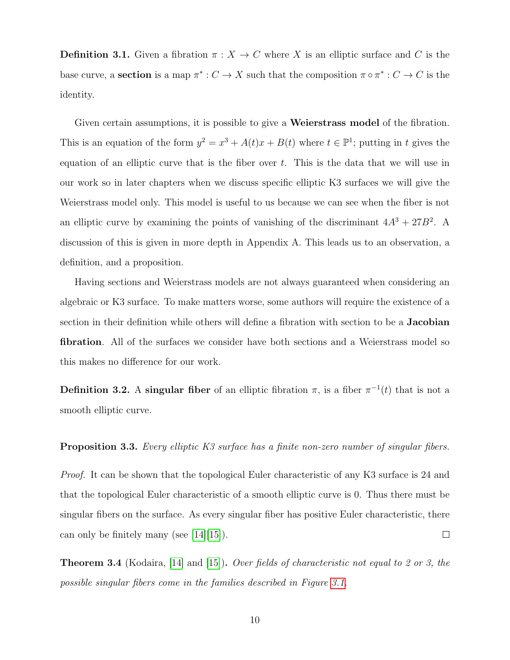**Definition 3.1.** Given a fibration  $\pi : X \to C$  where X is an elliptic surface and C is the base curve, a **section** is a map  $\pi^*: C \to X$  such that the composition  $\pi \circ \pi^*: C \to C$  is the identity.

Given certain assumptions, it is possible to give a **Weierstrass model** of the fibration. This is an equation of the form  $y^2 = x^3 + A(t)x + B(t)$  where  $t \in \mathbb{P}^1$ ; putting in t gives the equation of an elliptic curve that is the fiber over  $t$ . This is the data that we will use in our work so in later chapters when we discuss specific elliptic K3 surfaces we will give the Weierstrass model only. This model is useful to us because we can see when the fiber is not an elliptic curve by examining the points of vanishing of the discriminant  $4A^3 + 27B^2$ . A discussion of this is given in more depth in Appendix A. This leads us to an observation, a definition, and a proposition.

Having sections and Weierstrass models are not always guaranteed when considering an algebraic or K3 surface. To make matters worse, some authors will require the existence of a section in their definition while others will define a fibration with section to be a Jacobian fibration. All of the surfaces we consider have both sections and a Weierstrass model so this makes no difference for our work.

**Definition 3.2.** A singular fiber of an elliptic fibration  $\pi$ , is a fiber  $\pi^{-1}(t)$  that is not a smooth elliptic curve.

**Proposition 3.3.** Every elliptic K3 surface has a finite non-zero number of singular fibers.

*Proof.* It can be shown that the topological Euler characteristic of any K3 surface is 24 and that the topological Euler characteristic of a smooth elliptic curve is 0. Thus there must be singular fibers on the surface. As every singular fiber has positive Euler characteristic, there can only be finitely many (see [\[14\]](#page-66-0)[\[15\]](#page-66-1)).  $\Box$ 

Theorem 3.4 (Kodaira, [\[14\]](#page-66-0) and [\[15\]](#page-66-1)). Over fields of characteristic not equal to 2 or 3, the possible singular fibers come in the families described in Figure [3.1.](#page-17-0)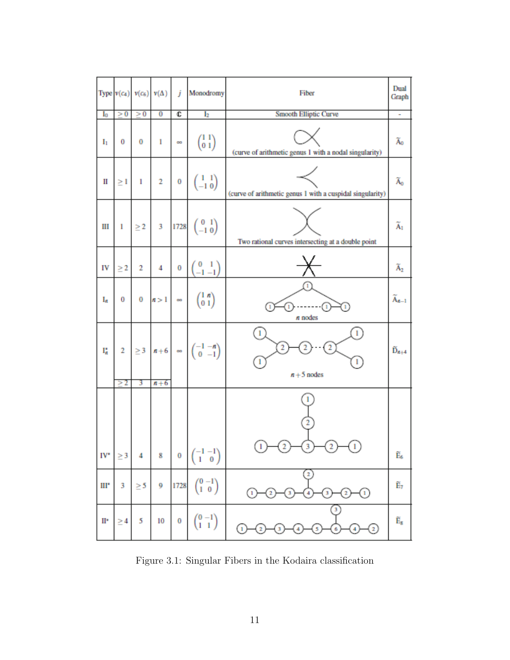|     | Type $v(c_4)$ |          | $v(c_6)$ $v(\Delta)$ | j        | Monodromy                                                                                              | Fiber                                                                           | Dual<br>Graph                         |
|-----|---------------|----------|----------------------|----------|--------------------------------------------------------------------------------------------------------|---------------------------------------------------------------------------------|---------------------------------------|
| I0  | > 0           | > 0      | $\overline{0}$       | ¢        | I <sub>2</sub>                                                                                         | <b>Smooth Elliptic Curve</b>                                                    | ٠                                     |
| Iı  | 0             | 0        | 1                    | $\infty$ | $\binom{1\ 1}{0\ 1}$                                                                                   | (curve of arithmetic genus 1 with a nodal singularity)                          | Ão                                    |
| Ш   | $\geq$ 1      | 1        | $\mathbf{2}$         |          | $\begin{pmatrix} 1 & 1 \\ -1 & 0 \end{pmatrix}$                                                        | (curve of arithmetic genus 1 with a cuspidal singularity)                       | $\widetilde{\mathrm{A}}_0$            |
| Ш   | $\mathbf{I}$  |          | $\geq 2$ – $3$       |          | $1728 \begin{pmatrix} 0 & 1 \\ -1 & 0 \end{pmatrix}$                                                   | Two rational curves intersecting at a double point                              | $\widetilde{\text{A}}_1$              |
| IV  | $\geq$ 2      | 2        | 4                    | $\bf{0}$ | $\begin{pmatrix} 0 & 1 \\ -1 & -1 \end{pmatrix}$                                                       |                                                                                 | $\widetilde{\mathrm{A}}_2$            |
| Ig. | $\bf{0}$      |          |                      |          | $0 \mid n>1 \mid \infty$ $\begin{pmatrix} 1 & n \\ 0 & 1 \end{pmatrix}$                                | 1<br>1<br>1<br>n nodes                                                          | $\widetilde{A}_{n-1}$                 |
| ľ,  | >2            | 3        | $n+6$                |          | 2 $\begin{vmatrix} 2 & 3 \end{vmatrix} n+6$ $\infty$ $\begin{pmatrix} -1 & -n \\ 0 & -1 \end{pmatrix}$ | $\mathbf{1}$<br>$\cdot$ (2)<br>$\overline{2}$<br>$n+5$ nodes                    | $\widetilde{D}_{n+4}$                 |
|     |               |          |                      |          |                                                                                                        |                                                                                 |                                       |
| IV* | $\geq 3$      | 4        | 8                    | 0        | $\begin{pmatrix} -1 & -1 \\ 1 & 0 \end{pmatrix}$                                                       | $_{1}$                                                                          | Ê,                                    |
| Ш۰  | 3             | $\geq 5$ | 9                    | 1728     | $\binom{0 - 1}{1 \ 0}$                                                                                 | $\mathbf{2}$<br>⊕<br>$\mathbf{2}$<br>$\left( \mathbf{1} \right)$<br>3<br>2<br>3 | Ê7                                    |
| Ш٠  | $\geq 4$      | 5        | 10                   | 0        | $\binom{0-1}{1-1}$                                                                                     | 3<br>Œ<br>C<br>5<br>$\mathbf 2$<br>4<br>4<br>3<br>6                             | $\widetilde{\mathbf{E}}_{\mathbf{S}}$ |

<span id="page-17-0"></span>Figure 3.1: Singular Fibers in the Kodaira classification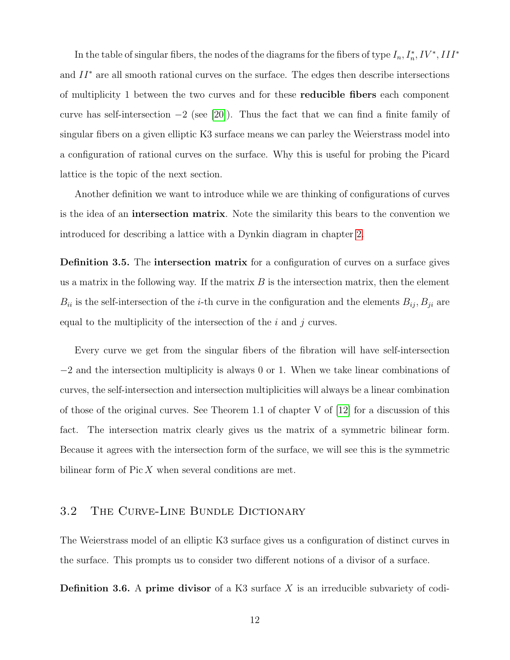In the table of singular fibers, the nodes of the diagrams for the fibers of type  $I_n$ ,  $I_n^*$ ,  $IV^*$ ,  $III^*$ and  $II^*$  are all smooth rational curves on the surface. The edges then describe intersections of multiplicity 1 between the two curves and for these reducible fibers each component curve has self-intersection  $-2$  (see [\[20\]](#page-66-2)). Thus the fact that we can find a finite family of singular fibers on a given elliptic K3 surface means we can parley the Weierstrass model into a configuration of rational curves on the surface. Why this is useful for probing the Picard lattice is the topic of the next section.

Another definition we want to introduce while we are thinking of configurations of curves is the idea of an intersection matrix. Note the similarity this bears to the convention we introduced for describing a lattice with a Dynkin diagram in chapter [2.](#page-9-0)

Definition 3.5. The intersection matrix for a configuration of curves on a surface gives us a matrix in the following way. If the matrix  $B$  is the intersection matrix, then the element  $B_{ii}$  is the self-intersection of the *i*-th curve in the configuration and the elements  $B_{ij}$ ,  $B_{ji}$  are equal to the multiplicity of the intersection of the  $i$  and  $j$  curves.

Every curve we get from the singular fibers of the fibration will have self-intersection −2 and the intersection multiplicity is always 0 or 1. When we take linear combinations of curves, the self-intersection and intersection multiplicities will always be a linear combination of those of the original curves. See Theorem 1.1 of chapter V of  $[12]$  for a discussion of this fact. The intersection matrix clearly gives us the matrix of a symmetric bilinear form. Because it agrees with the intersection form of the surface, we will see this is the symmetric bilinear form of  $Pic X$  when several conditions are met.

#### <span id="page-18-0"></span>3.2 The Curve-Line Bundle Dictionary

The Weierstrass model of an elliptic K3 surface gives us a configuration of distinct curves in the surface. This prompts us to consider two different notions of a divisor of a surface.

**Definition 3.6.** A prime divisor of a K3 surface  $X$  is an irreducible subvariety of codi-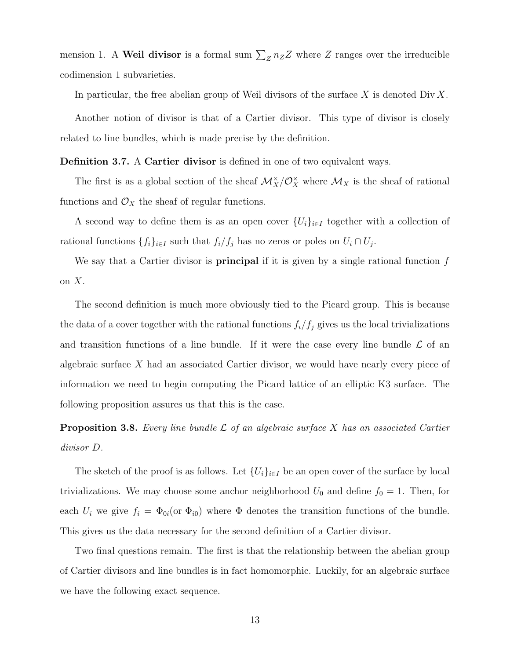mension 1. A Weil divisor is a formal sum  $\sum_{Z} n_Z Z$  where Z ranges over the irreducible codimension 1 subvarieties.

In particular, the free abelian group of Weil divisors of the surface X is denoted  $\text{Div } X$ .

Another notion of divisor is that of a Cartier divisor. This type of divisor is closely related to line bundles, which is made precise by the definition.

Definition 3.7. A Cartier divisor is defined in one of two equivalent ways.

The first is as a global section of the sheaf  $\mathcal{M}_X^{\times}/\mathcal{O}_X^{\times}$  where  $\mathcal{M}_X$  is the sheaf of rational functions and  $\mathcal{O}_X$  the sheaf of regular functions.

A second way to define them is as an open cover  $\{U_i\}_{i\in I}$  together with a collection of rational functions  $\{f_i\}_{i\in I}$  such that  $f_i/f_j$  has no zeros or poles on  $U_i \cap U_j$ .

We say that a Cartier divisor is **principal** if it is given by a single rational function  $f$ on  $X$ .

The second definition is much more obviously tied to the Picard group. This is because the data of a cover together with the rational functions  $f_i/f_j$  gives us the local trivializations and transition functions of a line bundle. If it were the case every line bundle  $\mathcal L$  of an algebraic surface X had an associated Cartier divisor, we would have nearly every piece of information we need to begin computing the Picard lattice of an elliptic K3 surface. The following proposition assures us that this is the case.

**Proposition 3.8.** Every line bundle  $\mathcal{L}$  of an algebraic surface X has an associated Cartier divisor D.

The sketch of the proof is as follows. Let  $\{U_i\}_{i\in I}$  be an open cover of the surface by local trivializations. We may choose some anchor neighborhood  $U_0$  and define  $f_0 = 1$ . Then, for each  $U_i$  we give  $f_i = \Phi_{0i}$  (or  $\Phi_{i0}$ ) where  $\Phi$  denotes the transition functions of the bundle. This gives us the data necessary for the second definition of a Cartier divisor.

Two final questions remain. The first is that the relationship between the abelian group of Cartier divisors and line bundles is in fact homomorphic. Luckily, for an algebraic surface we have the following exact sequence.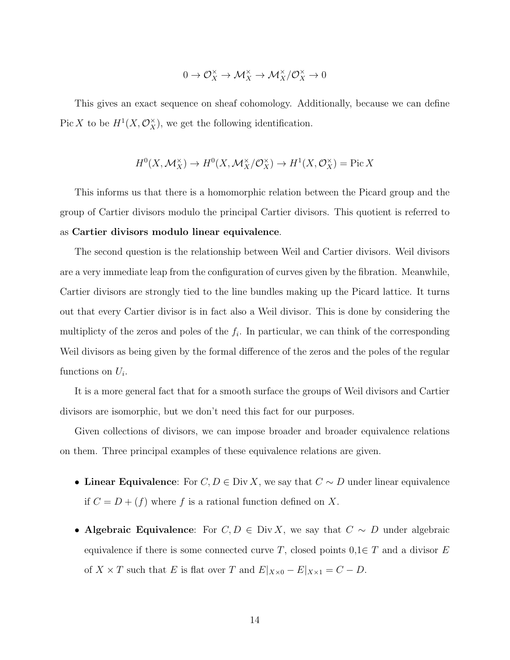$$
0\to \mathcal{O}_X^\times\to \mathcal{M}_X^\times\to \mathcal{M}_X^\times/\mathcal{O}_X^\times\to 0
$$

This gives an exact sequence on sheaf cohomology. Additionally, because we can define Pic X to be  $H^1(X, \mathcal{O}_X^{\times})$ , we get the following identification.

$$
H^{0}(X, \mathcal{M}_{X}^{\times}) \to H^{0}(X, \mathcal{M}_{X}^{\times}/\mathcal{O}_{X}^{\times}) \to H^{1}(X, \mathcal{O}_{X}^{\times}) = \text{Pic } X
$$

This informs us that there is a homomorphic relation between the Picard group and the group of Cartier divisors modulo the principal Cartier divisors. This quotient is referred to as Cartier divisors modulo linear equivalence.

The second question is the relationship between Weil and Cartier divisors. Weil divisors are a very immediate leap from the configuration of curves given by the fibration. Meanwhile, Cartier divisors are strongly tied to the line bundles making up the Picard lattice. It turns out that every Cartier divisor is in fact also a Weil divisor. This is done by considering the multiplicty of the zeros and poles of the  $f_i$ . In particular, we can think of the corresponding Weil divisors as being given by the formal difference of the zeros and the poles of the regular functions on  $U_i$ .

It is a more general fact that for a smooth surface the groups of Weil divisors and Cartier divisors are isomorphic, but we don't need this fact for our purposes.

Given collections of divisors, we can impose broader and broader equivalence relations on them. Three principal examples of these equivalence relations are given.

- Linear Equivalence: For  $C, D \in Div X$ , we say that  $C \sim D$  under linear equivalence if  $C = D + (f)$  where f is a rational function defined on X.
- Algebraic Equivalence: For  $C, D \in Div X$ , we say that  $C \sim D$  under algebraic equivalence if there is some connected curve T, closed points  $0,1 \in T$  and a divisor E of  $X \times T$  such that E is flat over T and  $E|_{X\times 0} - E|_{X\times 1} = C - D$ .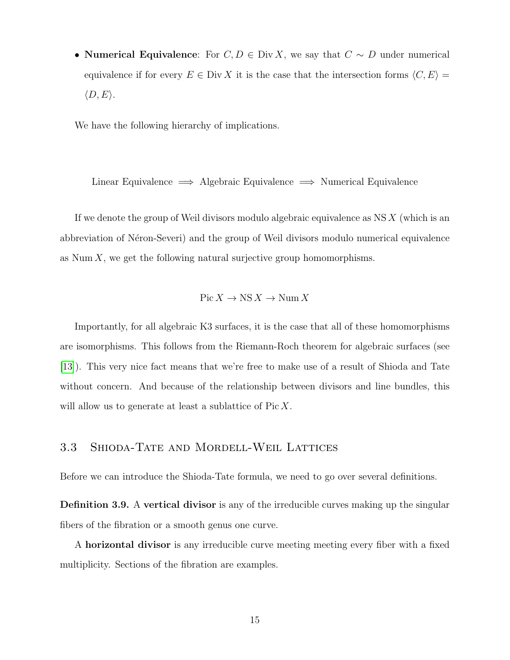• Numerical Equivalence: For  $C, D \in Div X$ , we say that  $C \sim D$  under numerical equivalence if for every  $E \in Div X$  it is the case that the intersection forms  $\langle C, E \rangle =$  $\langle D, E \rangle$ .

We have the following hierarchy of implications.

Linear Equivalence =⇒ Algebraic Equivalence =⇒ Numerical Equivalence

If we denote the group of Weil divisors modulo algebraic equivalence as  $NS X$  (which is an abbreviation of Néron-Severi) and the group of Weil divisors modulo numerical equivalence as Num  $X$ , we get the following natural surjective group homomorphisms.

$$
Pic X \to NS X \to Num X
$$

Importantly, for all algebraic K3 surfaces, it is the case that all of these homomorphisms are isomorphisms. This follows from the Riemann-Roch theorem for algebraic surfaces (see [\[13\]](#page-65-2)). This very nice fact means that we're free to make use of a result of Shioda and Tate without concern. And because of the relationship between divisors and line bundles, this will allow us to generate at least a sublattice of Pic X.

#### <span id="page-21-0"></span>3.3 Shioda-Tate and Mordell-Weil Lattices

Before we can introduce the Shioda-Tate formula, we need to go over several definitions.

Definition 3.9. A vertical divisor is any of the irreducible curves making up the singular fibers of the fibration or a smooth genus one curve.

A horizontal divisor is any irreducible curve meeting meeting every fiber with a fixed multiplicity. Sections of the fibration are examples.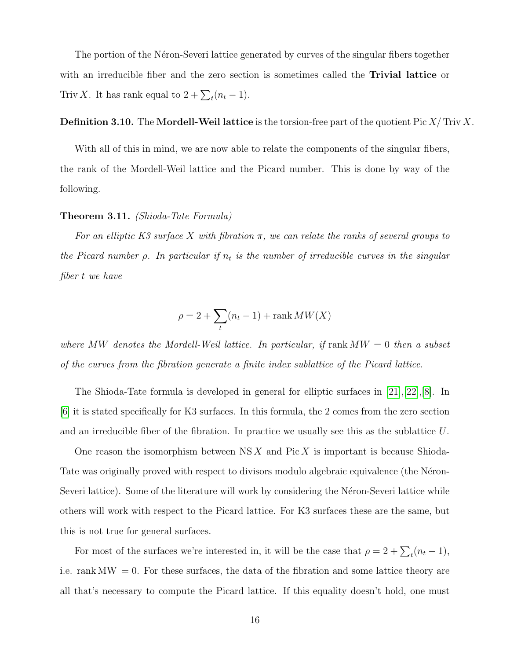The portion of the Néron-Severi lattice generated by curves of the singular fibers together with an irreducible fiber and the zero section is sometimes called the **Trivial lattice** or Triv X. It has rank equal to  $2 + \sum_t (n_t - 1)$ .

#### **Definition 3.10.** The **Mordell-Weil lattice** is the torsion-free part of the quotient Pic  $X/\text{Triv } X$ .

With all of this in mind, we are now able to relate the components of the singular fibers, the rank of the Mordell-Weil lattice and the Picard number. This is done by way of the following.

#### Theorem 3.11. (Shioda-Tate Formula)

For an elliptic K3 surface X with fibration  $\pi$ , we can relate the ranks of several groups to the Picard number  $\rho$ . In particular if  $n_t$  is the number of irreducible curves in the singular fiber t we have

$$
\rho = 2 + \sum_{t} (n_t - 1) + \text{rank } MW(X)
$$

where MW denotes the Mordell-Weil lattice. In particular, if  $rank MW = 0$  then a subset of the curves from the fibration generate a finite index sublattice of the Picard lattice.

The Shioda-Tate formula is developed in general for elliptic surfaces in [\[21\]](#page-66-3),[\[22\]](#page-66-4),[\[8\]](#page-65-3). In [\[6\]](#page-65-4) it is stated specifically for K3 surfaces. In this formula, the 2 comes from the zero section and an irreducible fiber of the fibration. In practice we usually see this as the sublattice U.

One reason the isomorphism between  $NS X$  and Pic X is important is because Shioda-Tate was originally proved with respect to divisors modulo algebraic equivalence (the Néron-Severi lattice). Some of the literature will work by considering the Néron-Severi lattice while others will work with respect to the Picard lattice. For K3 surfaces these are the same, but this is not true for general surfaces.

For most of the surfaces we're interested in, it will be the case that  $\rho = 2 + \sum_{t} (n_t - 1)$ , i.e. rank  $\text{MW} = 0$ . For these surfaces, the data of the fibration and some lattice theory are all that's necessary to compute the Picard lattice. If this equality doesn't hold, one must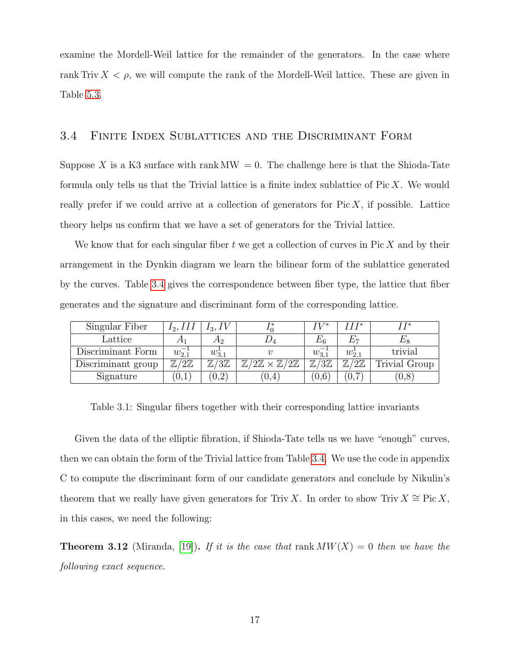examine the Mordell-Weil lattice for the remainder of the generators. In the case where rank Triv  $X < \rho$ , we will compute the rank of the Mordell-Weil lattice. These are given in Table [5.3.](#page-37-0)

## <span id="page-23-0"></span>3.4 Finite Index Sublattices and the Discriminant Form

Suppose X is a K3 surface with rank  $MW = 0$ . The challenge here is that the Shioda-Tate formula only tells us that the Trivial lattice is a finite index sublattice of  $Pic X$ . We would really prefer if we could arrive at a collection of generators for  $Pic X$ , if possible. Lattice theory helps us confirm that we have a set of generators for the Trivial lattice.

We know that for each singular fiber  $t$  we get a collection of curves in Pic  $X$  and by their arrangement in the Dynkin diagram we learn the bilinear form of the sublattice generated by the curves. Table [3.4](#page-23-0) gives the correspondence between fiber type, the lattice that fiber generates and the signature and discriminant form of the corresponding lattice.

| Singular Fiber     | 12,111                   | 13,1                     |                                                           | IV*                      | TTT*                     | r T*          |
|--------------------|--------------------------|--------------------------|-----------------------------------------------------------|--------------------------|--------------------------|---------------|
| Lattice            |                          | Α2                       |                                                           | $E_{6}$                  |                          |               |
| Discriminant Form  | $w_{2,1}^-$              | $w_{3,1}^{\perp}$        |                                                           | $w_{3,1}^-$              | $w_{2,1}^{\perp}$        | trivial       |
| Discriminant group | $\mathbb{Z}/2\mathbb{Z}$ | $\mathbb{Z}/3\mathbb{Z}$ | $\mathbb Z$<br>$\mathbb{Z}/2\mathbb{Z}$<br>$/2\mathbb{Z}$ | $\mathbb{Z}/3\mathbb{Z}$ | $\mathbb{Z}/2\mathbb{Z}$ | Trivial Group |
| Signature          | $^{\prime}0.1$           | $0.2^{\circ}$            | 0,4                                                       | $0.6^{\circ}$            | 0,7<br>$\overline{ }$    | 0.8           |

<span id="page-23-1"></span>Table 3.1: Singular fibers together with their corresponding lattice invariants

Given the data of the elliptic fibration, if Shioda-Tate tells us we have "enough" curves, then we can obtain the form of the Trivial lattice from Table [3.4.](#page-23-0) We use the code in appendix C to compute the discriminant form of our candidate generators and conclude by Nikulin's theorem that we really have given generators for Triv X. In order to show Triv  $X \cong \text{Pic } X$ , in this cases, we need the following:

**Theorem 3.12** (Miranda, [\[19\]](#page-66-5)). If it is the case that rank  $MW(X) = 0$  then we have the following exact sequence.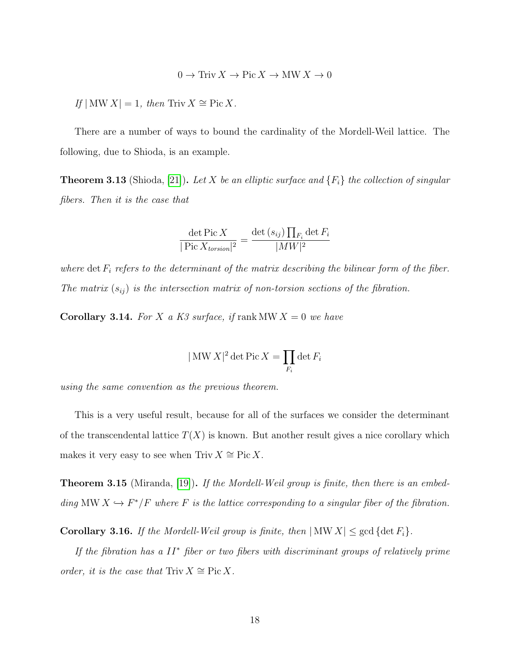$$
0 \to \text{Triv } X \to \text{Pic } X \to \text{MW } X \to 0
$$

If  $|MWX|=1$ , then Triv  $X \cong Pic X$ .

There are a number of ways to bound the cardinality of the Mordell-Weil lattice. The following, due to Shioda, is an example.

**Theorem 3.13** (Shioda, [\[21\]](#page-66-3)). Let X be an elliptic surface and  $\{F_i\}$  the collection of singular fibers. Then it is the case that

$$
\frac{\det \operatorname{Pic} X}{|\operatorname{Pic} X_{torsion}|^2} = \frac{\det \left(s_{ij}\right) \prod_{F_i} \det F_i}{|MW|^2}
$$

where det  $F_i$  refers to the determinant of the matrix describing the bilinear form of the fiber. The matrix  $(s_{ij})$  is the intersection matrix of non-torsion sections of the fibration.

<span id="page-24-1"></span>**Corollary 3.14.** For X a K3 surface, if rank MW  $X = 0$  we have

$$
|\text{MW } X|^2 \det \text{Pic } X = \prod_{F_i} \det F_i
$$

using the same convention as the previous theorem.

This is a very useful result, because for all of the surfaces we consider the determinant of the transcendental lattice  $T(X)$  is known. But another result gives a nice corollary which makes it very easy to see when Triv  $X \cong \text{Pic } X$ .

**Theorem 3.15** (Miranda, [\[19\]](#page-66-5)). If the Mordell-Weil group is finite, then there is an embedding MW  $X \hookrightarrow F^*/F$  where F is the lattice corresponding to a singular fiber of the fibration.

<span id="page-24-0"></span>**Corollary 3.16.** If the Mordell-Weil group is finite, then  $|MW X| \leq \gcd \{ \det F_i \}.$ 

If the fibration has a II<sup>∗</sup> fiber or two fibers with discriminant groups of relatively prime order, it is the case that Triv  $X \cong \text{Pic } X$ .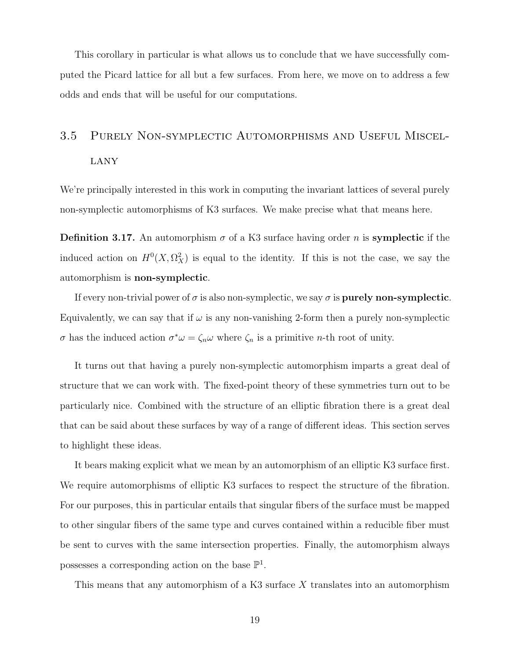This corollary in particular is what allows us to conclude that we have successfully computed the Picard lattice for all but a few surfaces. From here, we move on to address a few odds and ends that will be useful for our computations.

# <span id="page-25-0"></span>3.5 Purely Non-symplectic Automorphisms and Useful Miscel-LANY

We're principally interested in this work in computing the invariant lattices of several purely non-symplectic automorphisms of K3 surfaces. We make precise what that means here.

**Definition 3.17.** An automorphism  $\sigma$  of a K3 surface having order n is **symplectic** if the induced action on  $H^0(X, \Omega_X^2)$  is equal to the identity. If this is not the case, we say the automorphism is non-symplectic.

If every non-trivial power of  $\sigma$  is also non-symplectic, we say  $\sigma$  is **purely non-symplectic**. Equivalently, we can say that if  $\omega$  is any non-vanishing 2-form then a purely non-symplectic σ has the induced action  $σ^*ω = ζ_nω$  where  $ζ_n$  is a primitive *n*-th root of unity.

It turns out that having a purely non-symplectic automorphism imparts a great deal of structure that we can work with. The fixed-point theory of these symmetries turn out to be particularly nice. Combined with the structure of an elliptic fibration there is a great deal that can be said about these surfaces by way of a range of different ideas. This section serves to highlight these ideas.

It bears making explicit what we mean by an automorphism of an elliptic K3 surface first. We require automorphisms of elliptic K3 surfaces to respect the structure of the fibration. For our purposes, this in particular entails that singular fibers of the surface must be mapped to other singular fibers of the same type and curves contained within a reducible fiber must be sent to curves with the same intersection properties. Finally, the automorphism always possesses a corresponding action on the base  $\mathbb{P}^1$ .

This means that any automorphism of a K3 surface X translates into an automorphism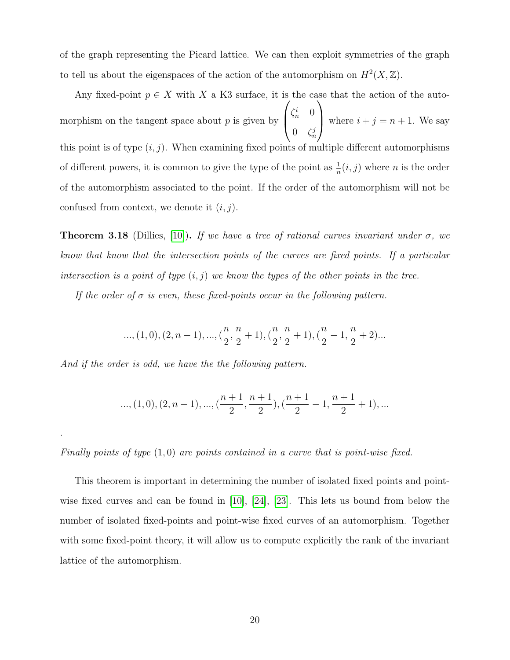of the graph representing the Picard lattice. We can then exploit symmetries of the graph to tell us about the eigenspaces of the action of the automorphism on  $H^2(X,\mathbb{Z})$ .

Any fixed-point  $p \in X$  with X a K3 surface, it is the case that the action of the automorphism on the tangent space about  $p$  is given by  $\sqrt{ }$  $\left\lfloor \right\rfloor$  $\zeta_n^i$  0  $0 \quad \zeta_n^j$  $\setminus$ where  $i + j = n + 1$ . We say this point is of type  $(i, j)$ . When examining fixed points of multiple different automorphisms of different powers, it is common to give the type of the point as  $\frac{1}{n}(i, j)$  where n is the order of the automorphism associated to the point. If the order of the automorphism will not be confused from context, we denote it  $(i, j)$ .

<span id="page-26-0"></span>**Theorem 3.18** (Dillies, [\[10\]](#page-65-5)). If we have a tree of rational curves invariant under  $\sigma$ , we know that know that the intersection points of the curves are fixed points. If a particular intersection is a point of type  $(i, j)$  we know the types of the other points in the tree.

If the order of  $\sigma$  is even, these fixed-points occur in the following pattern.

$$
..., (1,0), (2,n-1), ..., (\frac{n}{2}, \frac{n}{2}+1), (\frac{n}{2}, \frac{n}{2}+1), (\frac{n}{2}-1, \frac{n}{2}+2)...
$$

And if the order is odd, we have the the following pattern.

.

$$
..., (1,0), (2,n-1), ..., (\frac{n+1}{2}, \frac{n+1}{2}), (\frac{n+1}{2}-1, \frac{n+1}{2}+1), ...
$$

Finally points of type  $(1,0)$  are points contained in a curve that is point-wise fixed.

This theorem is important in determining the number of isolated fixed points and pointwise fixed curves and can be found in [\[10\]](#page-65-5), [\[24\]](#page-66-6), [\[23\]](#page-66-7). This lets us bound from below the number of isolated fixed-points and point-wise fixed curves of an automorphism. Together with some fixed-point theory, it will allow us to compute explicitly the rank of the invariant lattice of the automorphism.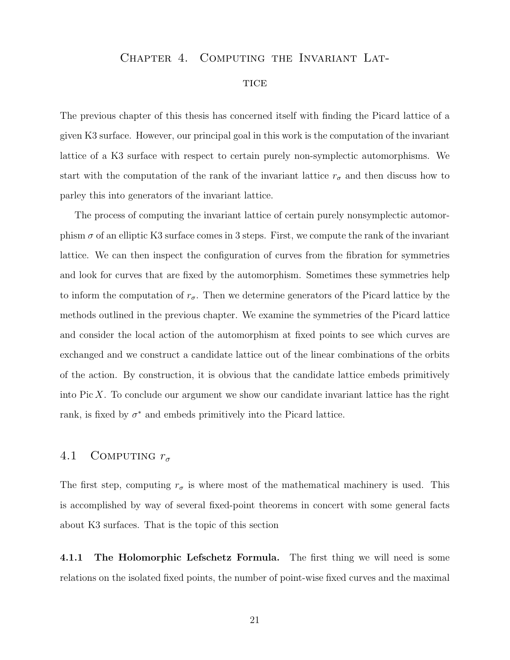#### <span id="page-27-0"></span>Chapter 4. Computing the Invariant Lat-

#### **TICE**

The previous chapter of this thesis has concerned itself with finding the Picard lattice of a given K3 surface. However, our principal goal in this work is the computation of the invariant lattice of a K3 surface with respect to certain purely non-symplectic automorphisms. We start with the computation of the rank of the invariant lattice  $r_{\sigma}$  and then discuss how to parley this into generators of the invariant lattice.

The process of computing the invariant lattice of certain purely nonsymplectic automorphism  $\sigma$  of an elliptic K3 surface comes in 3 steps. First, we compute the rank of the invariant lattice. We can then inspect the configuration of curves from the fibration for symmetries and look for curves that are fixed by the automorphism. Sometimes these symmetries help to inform the computation of  $r_{\sigma}$ . Then we determine generators of the Picard lattice by the methods outlined in the previous chapter. We examine the symmetries of the Picard lattice and consider the local action of the automorphism at fixed points to see which curves are exchanged and we construct a candidate lattice out of the linear combinations of the orbits of the action. By construction, it is obvious that the candidate lattice embeds primitively into  $Pic X$ . To conclude our argument we show our candidate invariant lattice has the right rank, is fixed by  $\sigma^*$  and embeds primitively into the Picard lattice.

## <span id="page-27-1"></span>4.1 COMPUTING  $r_{\sigma}$

The first step, computing  $r_{\sigma}$  is where most of the mathematical machinery is used. This is accomplished by way of several fixed-point theorems in concert with some general facts about K3 surfaces. That is the topic of this section

4.1.1 The Holomorphic Lefschetz Formula. The first thing we will need is some relations on the isolated fixed points, the number of point-wise fixed curves and the maximal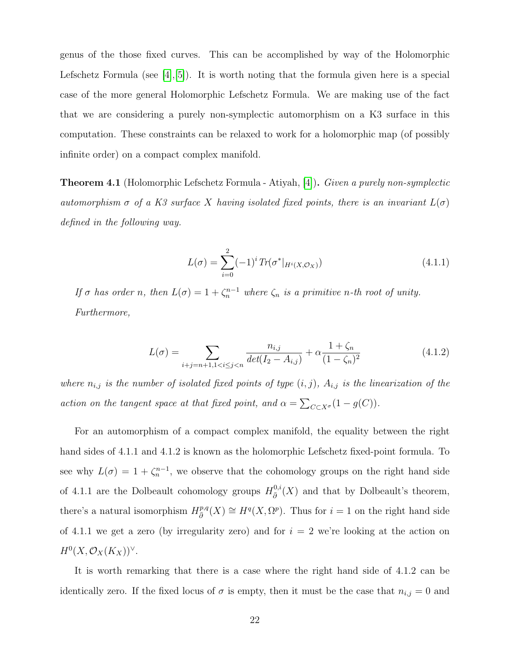genus of the those fixed curves. This can be accomplished by way of the Holomorphic Lefschetz Formula (see  $[4, 5]$ ). It is worth noting that the formula given here is a special case of the more general Holomorphic Lefschetz Formula. We are making use of the fact that we are considering a purely non-symplectic automorphism on a K3 surface in this computation. These constraints can be relaxed to work for a holomorphic map (of possibly infinite order) on a compact complex manifold.

Theorem 4.1 (Holomorphic Lefschetz Formula - Atiyah, [\[4\]](#page-65-6)). Given a purely non-symplectic automorphism  $\sigma$  of a K3 surface X having isolated fixed points, there is an invariant  $L(\sigma)$ defined in the following way.

$$
L(\sigma) = \sum_{i=0}^{2} (-1)^i Tr(\sigma^*|_{H^i(X, \mathcal{O}_X)})
$$
\n(4.1.1)

If  $\sigma$  has order n, then  $L(\sigma) = 1 + \zeta_n^{n-1}$  where  $\zeta_n$  is a primitive n-th root of unity. Furthermore,

$$
L(\sigma) = \sum_{i+j=n+1, 1 < i \leq j < n} \frac{n_{i,j}}{\det(I_2 - A_{i,j})} + \alpha \frac{1 + \zeta_n}{(1 - \zeta_n)^2} \tag{4.1.2}
$$

where  $n_{i,j}$  is the number of isolated fixed points of type  $(i, j)$ ,  $A_{i,j}$  is the linearization of the action on the tangent space at that fixed point, and  $\alpha = \sum_{C \subset X^{\sigma}} (1 - g(C)).$ 

For an automorphism of a compact complex manifold, the equality between the right hand sides of 4.1.1 and 4.1.2 is known as the holomorphic Lefschetz fixed-point formula. To see why  $L(\sigma) = 1 + \zeta_n^{n-1}$ , we observe that the cohomology groups on the right hand side of 4.1.1 are the Dolbeault cohomology groups  $H_{\bar{p}}^{0,i}$  $\frac{\partial}{\partial \theta}^{0,i}(X)$  and that by Dolbeault's theorem, there's a natural isomorphism  $H^{p,q}_{\bar{\partial}}$  $\partial_{\bar{\partial}}^{p,q}(X) \cong H^q(X, \Omega^p)$ . Thus for  $i = 1$  on the right hand side of 4.1.1 we get a zero (by irregularity zero) and for  $i = 2$  we're looking at the action on  $H^0(X,\mathcal{O}_X(K_X))^\vee$ .

It is worth remarking that there is a case where the right hand side of 4.1.2 can be identically zero. If the fixed locus of  $\sigma$  is empty, then it must be the case that  $n_{i,j} = 0$  and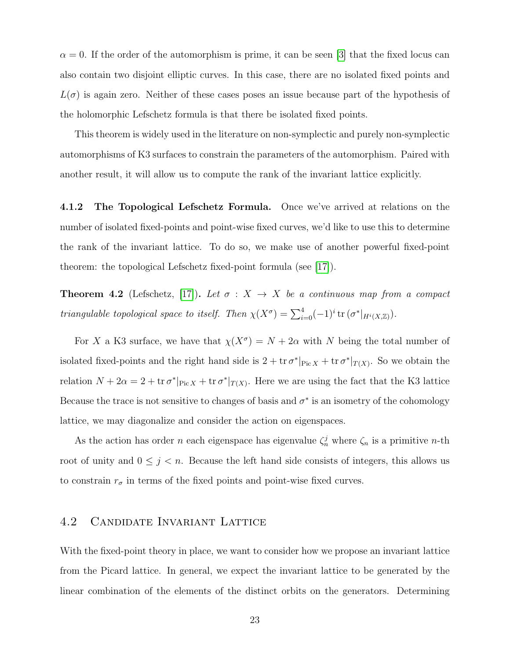$\alpha = 0$ . If the order of the automorphism is prime, it can be seen [\[3\]](#page-65-8) that the fixed locus can also contain two disjoint elliptic curves. In this case, there are no isolated fixed points and  $L(\sigma)$  is again zero. Neither of these cases poses an issue because part of the hypothesis of the holomorphic Lefschetz formula is that there be isolated fixed points.

This theorem is widely used in the literature on non-symplectic and purely non-symplectic automorphisms of K3 surfaces to constrain the parameters of the automorphism. Paired with another result, it will allow us to compute the rank of the invariant lattice explicitly.

4.1.2 The Topological Lefschetz Formula. Once we've arrived at relations on the number of isolated fixed-points and point-wise fixed curves, we'd like to use this to determine the rank of the invariant lattice. To do so, we make use of another powerful fixed-point theorem: the topological Lefschetz fixed-point formula (see [\[17\]](#page-66-8)).

**Theorem 4.2** (Lefschetz, [\[17\]](#page-66-8)). Let  $\sigma : X \to X$  be a continuous map from a compact *triangulable topological space to itself.* Then  $\chi(X^{\sigma}) = \sum_{i=0}^{4} (-1)^{i} \text{tr}(\sigma^{*}|_{H^{i}(X,\mathbb{Z})}).$ 

For X a K3 surface, we have that  $\chi(X^{\sigma}) = N + 2\alpha$  with N being the total number of isolated fixed-points and the right hand side is  $2 + tr \sigma^*|_{Pic X} + tr \sigma^*|_{T(X)}$ . So we obtain the relation  $N + 2\alpha = 2 + \text{tr } \sigma^*|_{\text{Pic } X} + \text{tr } \sigma^*|_{T(X)}$ . Here we are using the fact that the K3 lattice Because the trace is not sensitive to changes of basis and  $\sigma^*$  is an isometry of the cohomology lattice, we may diagonalize and consider the action on eigenspaces.

As the action has order *n* each eigenspace has eigenvalue  $\zeta_n^j$  where  $\zeta_n$  is a primitive *n*-th root of unity and  $0 \leq j \leq n$ . Because the left hand side consists of integers, this allows us to constrain  $r_{\sigma}$  in terms of the fixed points and point-wise fixed curves.

## <span id="page-29-0"></span>4.2 Candidate Invariant Lattice

With the fixed-point theory in place, we want to consider how we propose an invariant lattice from the Picard lattice. In general, we expect the invariant lattice to be generated by the linear combination of the elements of the distinct orbits on the generators. Determining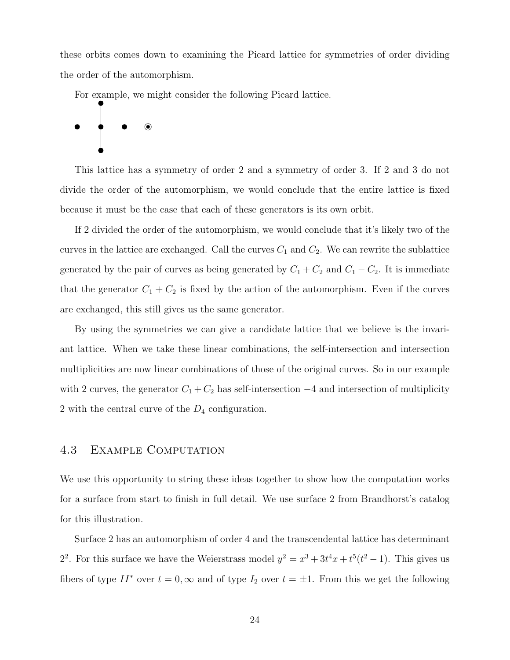these orbits comes down to examining the Picard lattice for symmetries of order dividing the order of the automorphism.

For example, we might consider the following Picard lattice.



This lattice has a symmetry of order 2 and a symmetry of order 3. If 2 and 3 do not divide the order of the automorphism, we would conclude that the entire lattice is fixed because it must be the case that each of these generators is its own orbit.

If 2 divided the order of the automorphism, we would conclude that it's likely two of the curves in the lattice are exchanged. Call the curves  $C_1$  and  $C_2$ . We can rewrite the sublattice generated by the pair of curves as being generated by  $C_1 + C_2$  and  $C_1 - C_2$ . It is immediate that the generator  $C_1 + C_2$  is fixed by the action of the automorphism. Even if the curves are exchanged, this still gives us the same generator.

By using the symmetries we can give a candidate lattice that we believe is the invariant lattice. When we take these linear combinations, the self-intersection and intersection multiplicities are now linear combinations of those of the original curves. So in our example with 2 curves, the generator  $C_1 + C_2$  has self-intersection  $-4$  and intersection of multiplicity 2 with the central curve of the  $D_4$  configuration.

#### <span id="page-30-0"></span>4.3 Example Computation

We use this opportunity to string these ideas together to show how the computation works for a surface from start to finish in full detail. We use surface 2 from Brandhorst's catalog for this illustration.

Surface 2 has an automorphism of order 4 and the transcendental lattice has determinant 2<sup>2</sup>. For this surface we have the Weierstrass model  $y^2 = x^3 + 3t^4x + t^5(t^2 - 1)$ . This gives us fibers of type  $II^*$  over  $t = 0, \infty$  and of type  $I_2$  over  $t = \pm 1$ . From this we get the following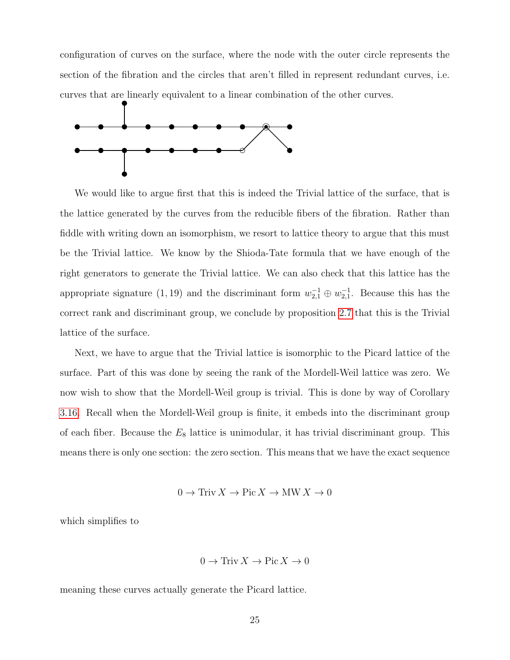configuration of curves on the surface, where the node with the outer circle represents the section of the fibration and the circles that aren't filled in represent redundant curves, i.e. curves that are linearly equivalent to a linear combination of the other curves.



We would like to argue first that this is indeed the Trivial lattice of the surface, that is the lattice generated by the curves from the reducible fibers of the fibration. Rather than fiddle with writing down an isomorphism, we resort to lattice theory to argue that this must be the Trivial lattice. We know by the Shioda-Tate formula that we have enough of the right generators to generate the Trivial lattice. We can also check that this lattice has the appropriate signature (1, 19) and the discriminant form  $w_{2,1}^{-1} \oplus w_{2,1}^{-1}$ . Because this has the correct rank and discriminant group, we conclude by proposition [2.7](#page-13-3) that this is the Trivial lattice of the surface.

Next, we have to argue that the Trivial lattice is isomorphic to the Picard lattice of the surface. Part of this was done by seeing the rank of the Mordell-Weil lattice was zero. We now wish to show that the Mordell-Weil group is trivial. This is done by way of Corollary [3.16.](#page-24-0) Recall when the Mordell-Weil group is finite, it embeds into the discriminant group of each fiber. Because the  $E_8$  lattice is unimodular, it has trivial discriminant group. This means there is only one section: the zero section. This means that we have the exact sequence

$$
0 \to \text{Triv} \, X \to \text{Pic} \, X \to \text{MW} \, X \to 0
$$

which simplifies to

$$
0 \to \text{Triv} \, X \to \text{Pic} \, X \to 0
$$

meaning these curves actually generate the Picard lattice.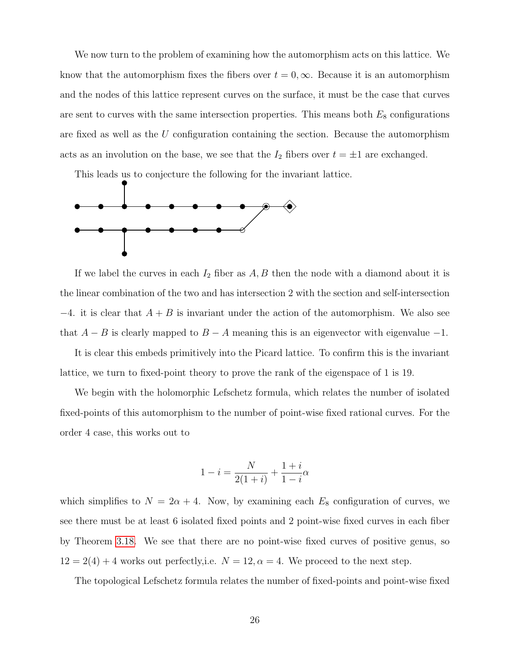We now turn to the problem of examining how the automorphism acts on this lattice. We know that the automorphism fixes the fibers over  $t = 0, \infty$ . Because it is an automorphism and the nodes of this lattice represent curves on the surface, it must be the case that curves are sent to curves with the same intersection properties. This means both  $E_8$  configurations are fixed as well as the  $U$  configuration containing the section. Because the automorphism acts as an involution on the base, we see that the  $I_2$  fibers over  $t = \pm 1$  are exchanged.

This leads us to conjecture the following for the invariant lattice.



If we label the curves in each  $I_2$  fiber as  $A, B$  then the node with a diamond about it is the linear combination of the two and has intersection 2 with the section and self-intersection  $-4$ . it is clear that  $A + B$  is invariant under the action of the automorphism. We also see that  $A - B$  is clearly mapped to  $B - A$  meaning this is an eigenvector with eigenvalue  $-1$ .

It is clear this embeds primitively into the Picard lattice. To confirm this is the invariant lattice, we turn to fixed-point theory to prove the rank of the eigenspace of 1 is 19.

We begin with the holomorphic Lefschetz formula, which relates the number of isolated fixed-points of this automorphism to the number of point-wise fixed rational curves. For the order 4 case, this works out to

$$
1 - i = \frac{N}{2(1+i)} + \frac{1+i}{1-i}\alpha
$$

which simplifies to  $N = 2\alpha + 4$ . Now, by examining each  $E_8$  configuration of curves, we see there must be at least 6 isolated fixed points and 2 point-wise fixed curves in each fiber by Theorem [3.18.](#page-26-0) We see that there are no point-wise fixed curves of positive genus, so  $12 = 2(4) + 4$  works out perfectly, i.e.  $N = 12$ ,  $\alpha = 4$ . We proceed to the next step.

The topological Lefschetz formula relates the number of fixed-points and point-wise fixed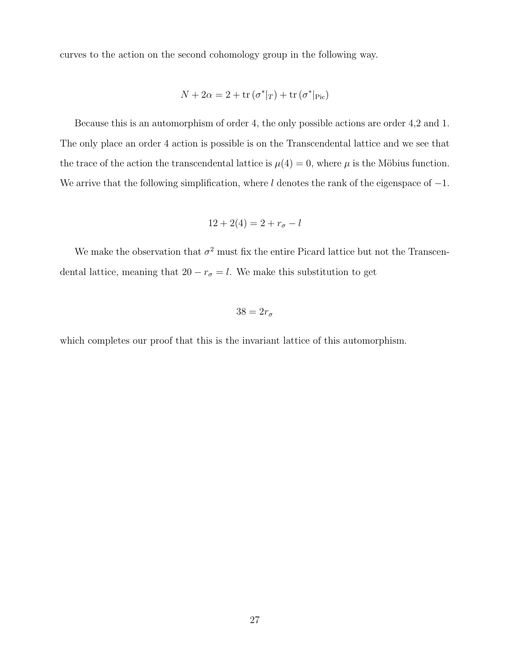curves to the action on the second cohomology group in the following way.

$$
N + 2\alpha = 2 + \text{tr}(\sigma^*|_T) + \text{tr}(\sigma^*|_{\text{Pic}})
$$

Because this is an automorphism of order 4, the only possible actions are order 4,2 and 1. The only place an order 4 action is possible is on the Transcendental lattice and we see that the trace of the action the transcendental lattice is  $\mu(4) = 0$ , where  $\mu$  is the Möbius function. We arrive that the following simplification, where l denotes the rank of the eigenspace of  $-1$ .

$$
12 + 2(4) = 2 + r_{\sigma} - l
$$

We make the observation that  $\sigma^2$  must fix the entire Picard lattice but not the Transcendental lattice, meaning that  $20 - r_{\sigma} = l$ . We make this substitution to get

$$
38 = 2r_{\sigma}
$$

which completes our proof that this is the invariant lattice of this automorphism.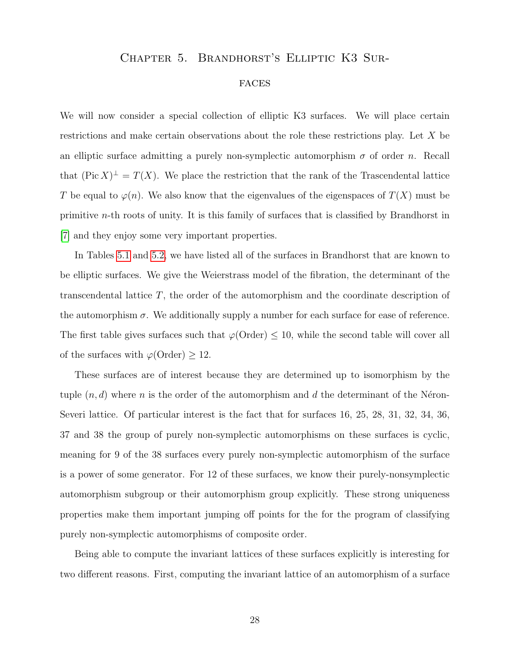#### <span id="page-34-0"></span>Chapter 5. Brandhorst's Elliptic K3 Sur-

#### **FACES**

We will now consider a special collection of elliptic K3 surfaces. We will place certain restrictions and make certain observations about the role these restrictions play. Let X be an elliptic surface admitting a purely non-symplectic automorphism  $\sigma$  of order n. Recall that  $(\text{Pic } X)^{\perp} = T(X)$ . We place the restriction that the rank of the Trascendental lattice T be equal to  $\varphi(n)$ . We also know that the eigenvalues of the eigenspaces of  $T(X)$  must be primitive n-th roots of unity. It is this family of surfaces that is classified by Brandhorst in [\[7\]](#page-65-9) and they enjoy some very important properties.

In Tables [5.1](#page-35-0) and [5.2,](#page-36-0) we have listed all of the surfaces in Brandhorst that are known to be elliptic surfaces. We give the Weierstrass model of the fibration, the determinant of the transcendental lattice T, the order of the automorphism and the coordinate description of the automorphism  $\sigma$ . We additionally supply a number for each surface for ease of reference. The first table gives surfaces such that  $\varphi$ (Order)  $\leq$  10, while the second table will cover all of the surfaces with  $\varphi(\text{Order}) \geq 12$ .

These surfaces are of interest because they are determined up to isomorphism by the tuple  $(n, d)$  where n is the order of the automorphism and d the determinant of the Néron-Severi lattice. Of particular interest is the fact that for surfaces 16, 25, 28, 31, 32, 34, 36, 37 and 38 the group of purely non-symplectic automorphisms on these surfaces is cyclic, meaning for 9 of the 38 surfaces every purely non-symplectic automorphism of the surface is a power of some generator. For 12 of these surfaces, we know their purely-nonsymplectic automorphism subgroup or their automorphism group explicitly. These strong uniqueness properties make them important jumping off points for the for the program of classifying purely non-symplectic automorphisms of composite order.

Being able to compute the invariant lattices of these surfaces explicitly is interesting for two different reasons. First, computing the invariant lattice of an automorphism of a surface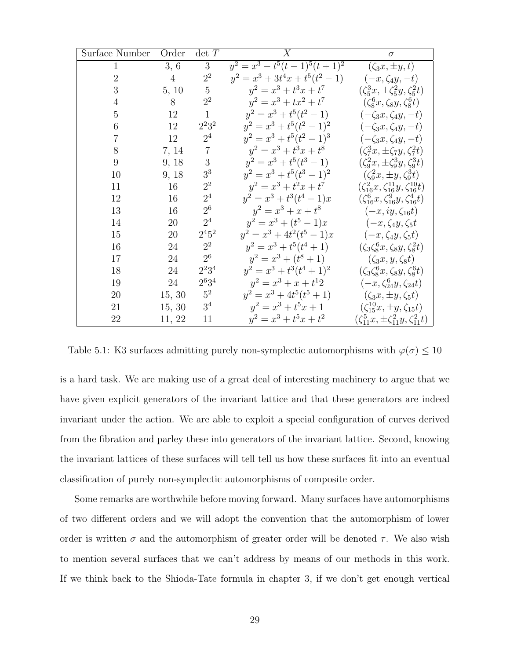| Surface Number   | Order          | $\det\,T$      | X                                  | $\sigma$                                                 |
|------------------|----------------|----------------|------------------------------------|----------------------------------------------------------|
| $\mathbf{1}$     | 3, 6           | $\sqrt{3}$     | $y^2 = x^3 - t^5(t-1)^5(t+1)^2$    | $(\zeta_3x,\pm y,t)$                                     |
| $\overline{2}$   | $\overline{4}$ | $2^2$          | $y^2 = x^3 + 3t^4x + t^5(t^2 - 1)$ | $(-x,\zeta_4y,-t)$                                       |
| $\boldsymbol{3}$ | 5, 10          | $\overline{5}$ | $y^2 = x^3 + t^3x + t^7$           | $(\zeta_5^3 x, \pm \zeta_5^2 y, \zeta_5^2 t)$            |
| $\overline{4}$   | $8\,$          | $2^2$          | $y^2 = x^3 + tx^2 + t^7$           | $(\zeta_8^6x, \zeta_8y, \zeta_8^6t)$                     |
| $\overline{5}$   | 12             | $\mathbf{1}$   | $y^2 = x^3 + t^5(t^2 - 1)$         | $(-\zeta_3x,\zeta_4y,-t)$                                |
| 6                | 12             | $2^2 3^2$      | $y^2 = x^3 + t^5(t^2 - 1)^2$       | $(-\zeta_3x,\zeta_4y,-t)$                                |
| $\overline{7}$   | 12             | 2 <sup>4</sup> | $y^2 = x^3 + t^5(t^2 - 1)^3$       | $(-\zeta_3x,\zeta_4y,-t)$                                |
| 8                | 7, 14          | $\overline{7}$ | $y^2 = x^3 + t^3x + t^8$           | $(\zeta_7^3x,\pm\zeta_7y,\zeta_7^2t)$                    |
| 9                | 9, 18          | 3              | $y^2 = x^3 + t^5(t^3 - 1)$         | $(\zeta_9^2x, \pm \zeta_9^3y, \zeta_9^3t)$               |
| 10               | 9, 18          | 3 <sup>3</sup> | $y^2 = x^3 + t^5(t^3 - 1)^2$       | $(\zeta_9^2x,\pm y,\zeta_9^3t)$                          |
| 11               | 16             | $2^2$          | $y^2 = x^3 + t^2x + t^7$           | $(\zeta_{16}^2 x, \zeta_{16}^{11} y, \zeta_{16}^{10} t)$ |
| 12               | 16             | 2 <sup>4</sup> | $y^2 = x^3 + t^3(t^4 - 1)x$        | $(\zeta_{16}^6 x, \zeta_{16}^9 y, \zeta_{16}^4 t)$       |
| 13               | 16             | $2^6$          | $y^2 = x^3 + x + t^8$              | $(-x, iy, \zeta_{16}t)$                                  |
| 14               | 20             | $2^4$          | $y^2 = x^3 + (t^5 - 1)x$           | $(-x, \zeta_4y, \zeta_5t$                                |
| 15               | 20             | $2^{4}5^{2}$   | $y^2 = x^3 + 4t^2(t^5 - 1)x$       | $(-x, \zeta_4y, \zeta_5t)$                               |
| 16               | 24             | $2^2$          | $y^2 = x^3 + t^5(t^4 + 1)$         | $(\zeta_3 \zeta_8^6 x, \zeta_8 y, \zeta_8^2 t)$          |
| 17               | 24             | $2^6$          | $y^2 = x^3 + (t^8 + 1)$            | $(\zeta_3x,y,\zeta_8t)$                                  |
| 18               | 24             | $2^{2}3^{4}$   | $y^2 = x^3 + t^3(t^4 + 1)^2$       | $(\zeta_3\zeta_8^6x,\zeta_8y,\zeta_8^6t)$                |
| 19               | 24             | $2^{6}3^{4}$   | $y^2 = x^3 + x + t^12$             | $(-x, \zeta_{24}^6 y, \zeta_{24} t)$                     |
| 20               | 15, 30         | $5^2$          | $y^2 = x^3 + 4t^5(t^5 + 1)$        | $(\zeta_3 x, \pm y, \zeta_5 t)$                          |
| 21               | 15, 30         | 3 <sup>4</sup> | $y^2 = x^3 + t^5x + 1$             | $(\zeta_{15}^{10}x, \pm y, \zeta_{15}t)$                 |
| 22               | 11, 22         | 11             | $y^2 = x^3 + t^5x + t^2$           | $(\zeta_{11}^5 x, \pm \zeta_{11}^2 y, \zeta_{11}^2 t)$   |

<span id="page-35-0"></span>Table 5.1: K3 surfaces admitting purely non-symplectic automorphisms with  $\varphi(\sigma) \leq 10$ 

is a hard task. We are making use of a great deal of interesting machinery to argue that we have given explicit generators of the invariant lattice and that these generators are indeed invariant under the action. We are able to exploit a special configuration of curves derived from the fibration and parley these into generators of the invariant lattice. Second, knowing the invariant lattices of these surfaces will tell tell us how these surfaces fit into an eventual classification of purely non-symplectic automorphisms of composite order.

Some remarks are worthwhile before moving forward. Many surfaces have automorphisms of two different orders and we will adopt the convention that the automorphism of lower order is written  $\sigma$  and the automorphism of greater order will be denoted  $\tau$ . We also wish to mention several surfaces that we can't address by means of our methods in this work. If we think back to the Shioda-Tate formula in chapter 3, if we don't get enough vertical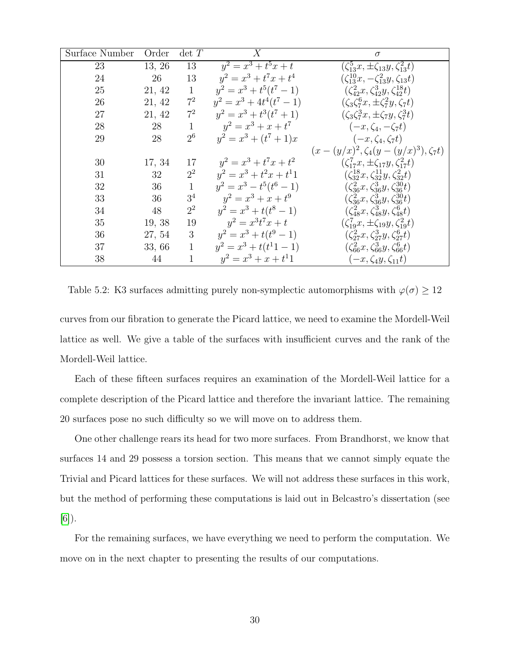| Surface Number | Order  | $\det T$       | X                           | $\sigma$                                                |
|----------------|--------|----------------|-----------------------------|---------------------------------------------------------|
| 23             | 13, 26 | 13             | $y^2 = x^3 + t^5x + t$      | $(\zeta_{13}^5 x, \pm \zeta_{13} y, \zeta_{13}^2 t)$    |
| 24             | 26     | 13             | $y^2 = x^3 + t^7x + t^4$    | $(\zeta_{13}^{10}x, -\zeta_{13}^2y, \zeta_{13}t)$       |
| 25             | 21, 42 | $\mathbf{1}$   | $y^2 = x^3 + t^5(t^7 - 1)$  | $(\zeta_{42}^2 x, \zeta_{42}^3 y, \zeta_{42}^{18} t)$   |
| 26             | 21, 42 | $7^2$          | $y^2 = x^3 + 4t^4(t^7 - 1)$ | $(\zeta_3 \zeta_7^6 x, \pm \zeta_7^2 y, \zeta_7 t)$     |
| 27             | 21, 42 | $7^2$          | $y^2 = x^3 + t^3(t^7 + 1)$  | $(\zeta_3 \zeta_7^3 x, \pm \zeta_7 y, \zeta_7^3 t)$     |
| 28             | 28     | $\mathbf{1}$   | $y^2 = x^3 + x + t^7$       | $(-x,\zeta_4,-\zeta_7t)$                                |
| 29             | 28     | 2 <sup>6</sup> | $y^2 = x^3 + (t^7 + 1)x$    | $(-x,\zeta_4,\zeta_7t)$                                 |
|                |        |                |                             | $(x-(y/x)^2, \zeta_4(y-(y/x)^3), \zeta_7t)$             |
| 30             | 17, 34 | 17             | $y^2 = x^3 + t^7x + t^2$    | $(\zeta_{17}^7 x, \pm \zeta_{17} y, \zeta_{17}^2 t)$    |
| 31             | 32     | $2^2$          | $y^2 = x^3 + t^2x + t^11$   | $(\zeta_{32}^{18}x, \zeta_{32}^{11}y, \zeta_{32}^{2}t)$ |
| 32             | 36     | $\mathbf{1}$   | $y^2 = x^3 - t^5(t^6 - 1)$  | $(\zeta_{36}^2 x, \zeta_{36}^3 y, \zeta_{36}^{30} t)$   |
| 33             | 36     | 3 <sup>4</sup> | $y^2 = x^3 + x + t^9$       | $(\zeta_{36}^2 x, \zeta_{36}^3 y, \zeta_{36}^{30} t)$   |
| 34             | 48     | $2^2$          | $y^2 = x^3 + t(t^8 - 1)$    | $(\zeta_{48}^2 x, \zeta_{48}^3 y, \zeta_{48}^6 t)$      |
| 35             | 19, 38 | 19             | $y^2 = x^3 t^7 x + t$       | $(\zeta_{19}^7 x, \pm \zeta_{19} y, \zeta_{19}^2 t)$    |
| 36             | 27, 54 | 3              | $y^2 = x^3 + t(t^9 - 1)$    | $(\zeta_{27}^2 x, \zeta_{27}^3 y, \zeta_{27}^6 t)$      |
| 37             | 33,66  | $\mathbf{1}$   | $y^2 = x^3 + t(t^11 - 1)$   | $(\zeta_{66}^2 x, \zeta_{66}^3 y, \zeta_{66}^6 t)$      |
| 38             | 44     | 1              | $y^2 = x^3 + x + t^11$      | $(-x, \zeta_4y, \zeta_{11}t)$                           |

<span id="page-36-0"></span>Table 5.2: K3 surfaces admitting purely non-symplectic automorphisms with  $\varphi(\sigma) \geq 12$ 

curves from our fibration to generate the Picard lattice, we need to examine the Mordell-Weil lattice as well. We give a table of the surfaces with insufficient curves and the rank of the Mordell-Weil lattice.

Each of these fifteen surfaces requires an examination of the Mordell-Weil lattice for a complete description of the Picard lattice and therefore the invariant lattice. The remaining 20 surfaces pose no such difficulty so we will move on to address them.

One other challenge rears its head for two more surfaces. From Brandhorst, we know that surfaces 14 and 29 possess a torsion section. This means that we cannot simply equate the Trivial and Picard lattices for these surfaces. We will not address these surfaces in this work, but the method of performing these computations is laid out in Belcastro's dissertation (see [\[6\]](#page-65-4)).

For the remaining surfaces, we have everything we need to perform the computation. We move on in the next chapter to presenting the results of our computations.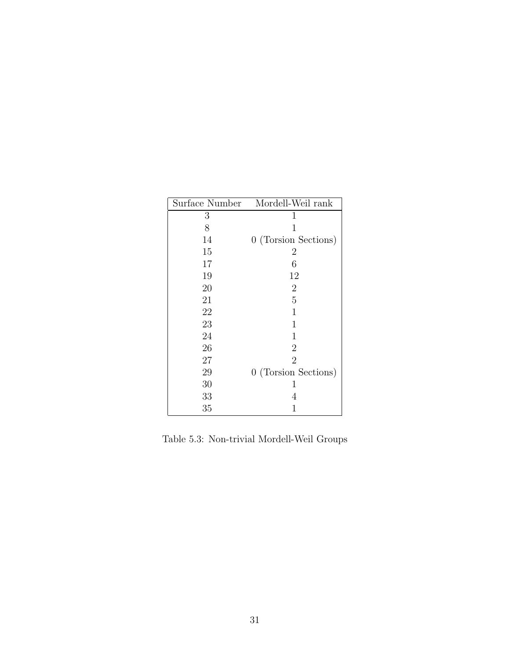| Surface Number | Mordell-Weil rank    |
|----------------|----------------------|
| 3              | 1                    |
| 8              | 1                    |
| 14             | 0 (Torsion Sections) |
| 15             | 2                    |
| 17             | 6                    |
| 19             | 12                   |
| 20             | $\overline{2}$       |
| 21             | 5                    |
| 22             | 1                    |
| 23             | 1                    |
| 24             | 1                    |
| 26             | $\overline{2}$       |
| 27             | $\overline{2}$       |
| 29             | 0 (Torsion Sections) |
| 30             | 1                    |
| 33             | 4                    |
| 35             | 1                    |

<span id="page-37-0"></span>Table 5.3: Non-trivial Mordell-Weil Groups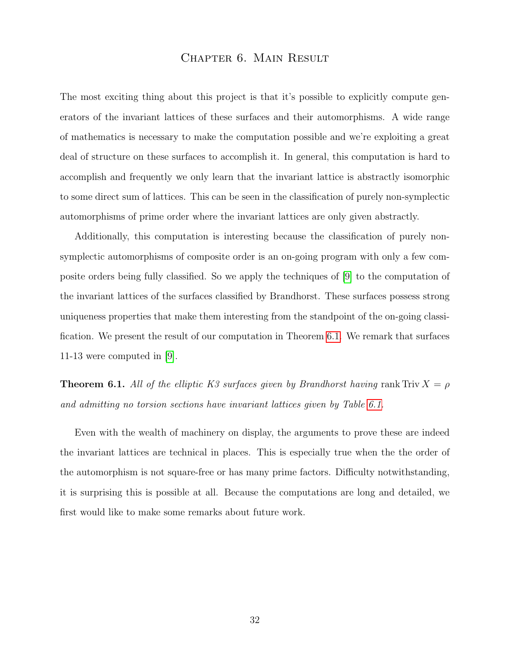#### Chapter 6. Main Result

<span id="page-38-0"></span>The most exciting thing about this project is that it's possible to explicitly compute generators of the invariant lattices of these surfaces and their automorphisms. A wide range of mathematics is necessary to make the computation possible and we're exploiting a great deal of structure on these surfaces to accomplish it. In general, this computation is hard to accomplish and frequently we only learn that the invariant lattice is abstractly isomorphic to some direct sum of lattices. This can be seen in the classification of purely non-symplectic automorphisms of prime order where the invariant lattices are only given abstractly.

Additionally, this computation is interesting because the classification of purely nonsymplectic automorphisms of composite order is an on-going program with only a few composite orders being fully classified. So we apply the techniques of [\[9\]](#page-65-0) to the computation of the invariant lattices of the surfaces classified by Brandhorst. These surfaces possess strong uniqueness properties that make them interesting from the standpoint of the on-going classification. We present the result of our computation in Theorem [6.1.](#page-38-1) We remark that surfaces 11-13 were computed in [\[9\]](#page-65-0).

<span id="page-38-1"></span>**Theorem 6.1.** All of the elliptic K3 surfaces given by Brandhorst having rank Triv  $X = \rho$ and admitting no torsion sections have invariant lattices given by Table [6.1.](#page-39-0)

Even with the wealth of machinery on display, the arguments to prove these are indeed the invariant lattices are technical in places. This is especially true when the the order of the automorphism is not square-free or has many prime factors. Difficulty notwithstanding, it is surprising this is possible at all. Because the computations are long and detailed, we first would like to make some remarks about future work.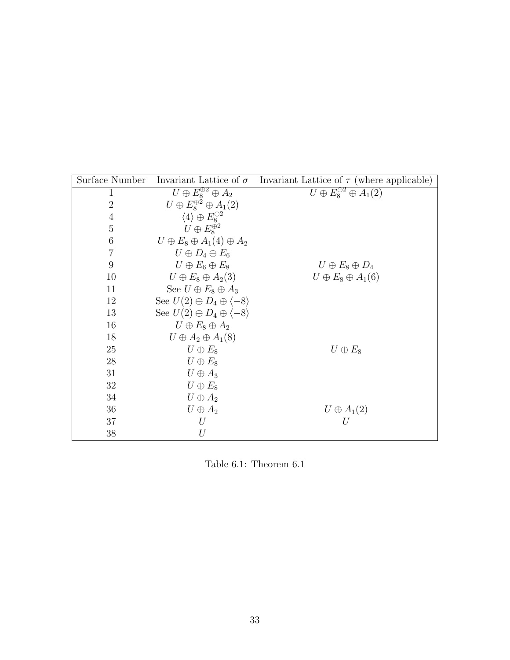| Surface Number | Invariant Lattice of $\sigma$                   | Invariant Lattice of $\tau$ (where applicable) |
|----------------|-------------------------------------------------|------------------------------------------------|
| 1              | $U \oplus E_8^{\oplus 2} \oplus A_2$            | $U \oplus E_8^{\oplus 2} \oplus A_1(2)$        |
| $\overline{2}$ | $U \oplus E_8^{\oplus 2} \oplus A_1(2)$         |                                                |
| $\overline{4}$ | $\langle 4 \rangle \oplus E_8^{\oplus 2}$       |                                                |
| $\overline{5}$ | $U \oplus E_8^{\oplus 2}$                       |                                                |
| 6              | $U \oplus E_8 \oplus A_1(4) \oplus A_2$         |                                                |
| $\overline{7}$ | $U \oplus D_4 \oplus E_6$                       |                                                |
| 9              | $U \oplus E_6 \oplus E_8$                       | $U \oplus E_8 \oplus D_4$                      |
| 10             | $U \oplus E_8 \oplus A_2(3)$                    | $U \oplus E_8 \oplus A_1(6)$                   |
| 11             | See $U \oplus E_8 \oplus A_3$                   |                                                |
| 12             | See $U(2) \oplus D_4 \oplus \langle -8 \rangle$ |                                                |
| 13             | See $U(2) \oplus D_4 \oplus \langle -8 \rangle$ |                                                |
| 16             | $U \oplus E_8 \oplus A_2$                       |                                                |
| 18             | $U \oplus A_2 \oplus A_1(8)$                    |                                                |
| 25             | $U \oplus E_8$                                  | $U \oplus E_8$                                 |
| 28             | $U \oplus E_8$                                  |                                                |
| 31             | $U \oplus A_3$                                  |                                                |
| 32             | $U \oplus E_8$                                  |                                                |
| 34             | $U \oplus A_2$                                  |                                                |
| 36             | $U \oplus A_2$                                  | $U \oplus A_1(2)$                              |
| 37             | U                                               | U                                              |
| 38             | $\mathnormal{U}$                                |                                                |

<span id="page-39-0"></span>Table 6.1: Theorem 6.1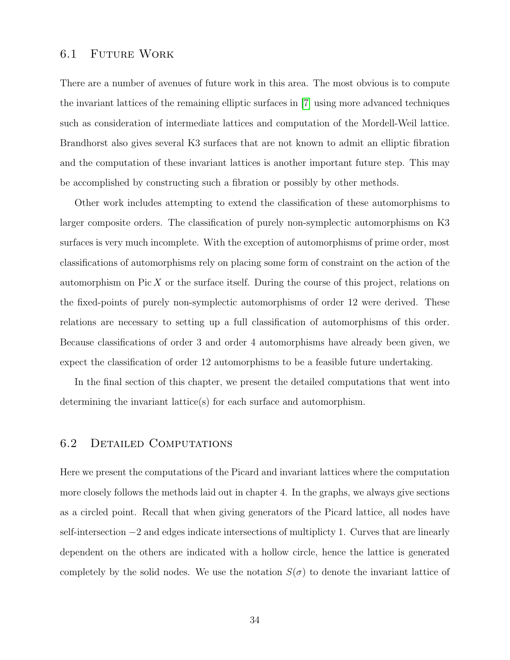#### <span id="page-40-0"></span>6.1 Future Work

There are a number of avenues of future work in this area. The most obvious is to compute the invariant lattices of the remaining elliptic surfaces in [\[7\]](#page-65-9) using more advanced techniques such as consideration of intermediate lattices and computation of the Mordell-Weil lattice. Brandhorst also gives several K3 surfaces that are not known to admit an elliptic fibration and the computation of these invariant lattices is another important future step. This may be accomplished by constructing such a fibration or possibly by other methods.

Other work includes attempting to extend the classification of these automorphisms to larger composite orders. The classification of purely non-symplectic automorphisms on K3 surfaces is very much incomplete. With the exception of automorphisms of prime order, most classifications of automorphisms rely on placing some form of constraint on the action of the automorphism on Pic X or the surface itself. During the course of this project, relations on the fixed-points of purely non-symplectic automorphisms of order 12 were derived. These relations are necessary to setting up a full classification of automorphisms of this order. Because classifications of order 3 and order 4 automorphisms have already been given, we expect the classification of order 12 automorphisms to be a feasible future undertaking.

In the final section of this chapter, we present the detailed computations that went into determining the invariant lattice(s) for each surface and automorphism.

#### <span id="page-40-1"></span>6.2 Detailed Computations

Here we present the computations of the Picard and invariant lattices where the computation more closely follows the methods laid out in chapter 4. In the graphs, we always give sections as a circled point. Recall that when giving generators of the Picard lattice, all nodes have self-intersection  $-2$  and edges indicate intersections of multiplicty 1. Curves that are linearly dependent on the others are indicated with a hollow circle, hence the lattice is generated completely by the solid nodes. We use the notation  $S(\sigma)$  to denote the invariant lattice of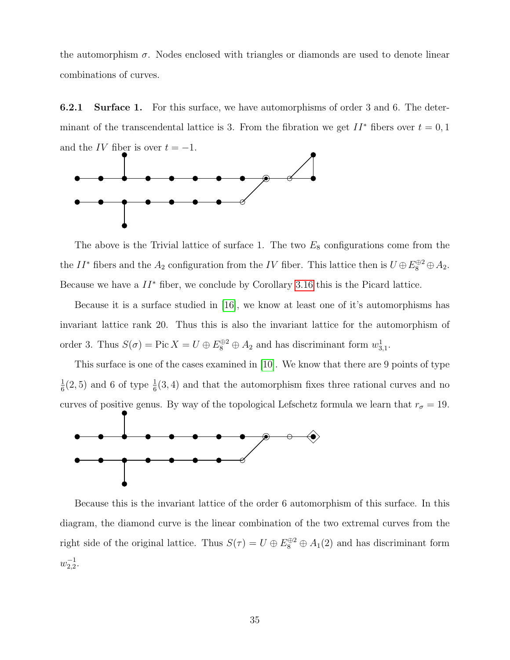the automorphism  $\sigma$ . Nodes enclosed with triangles or diamonds are used to denote linear combinations of curves.

**6.2.1 Surface 1.** For this surface, we have automorphisms of order 3 and 6. The determinant of the transcendental lattice is 3. From the fibration we get  $II^*$  fibers over  $t = 0, 1$ and the IV fiber is over  $t = -1$ .



The above is the Trivial lattice of surface 1. The two  $E_8$  configurations come from the the  $II^*$  fibers and the  $A_2$  configuration from the IV fiber. This lattice then is  $U \oplus E_8^{\oplus 2} \oplus A_2$ . Because we have a  $II^*$  fiber, we conclude by Corollary [3.16](#page-24-0) this is the Picard lattice.

Because it is a surface studied in [\[16\]](#page-66-9), we know at least one of it's automorphisms has invariant lattice rank 20. Thus this is also the invariant lattice for the automorphism of order 3. Thus  $S(\sigma) = \text{Pic } X = U \oplus E_8^{\oplus 2} \oplus A_2$  and has discriminant form  $w_{3,1}^1$ .

This surface is one of the cases examined in [\[10\]](#page-65-5). We know that there are 9 points of type 1  $\frac{1}{6}(2, 5)$  and 6 of type  $\frac{1}{6}(3, 4)$  and that the automorphism fixes three rational curves and no curves of positive genus. By way of the topological Lefschetz formula we learn that  $r_{\sigma} = 19$ .



Because this is the invariant lattice of the order 6 automorphism of this surface. In this diagram, the diamond curve is the linear combination of the two extremal curves from the right side of the original lattice. Thus  $S(\tau) = U \oplus E_8^{\oplus 2} \oplus A_1(2)$  and has discriminant form  $w_{2,2}^{-1}$ .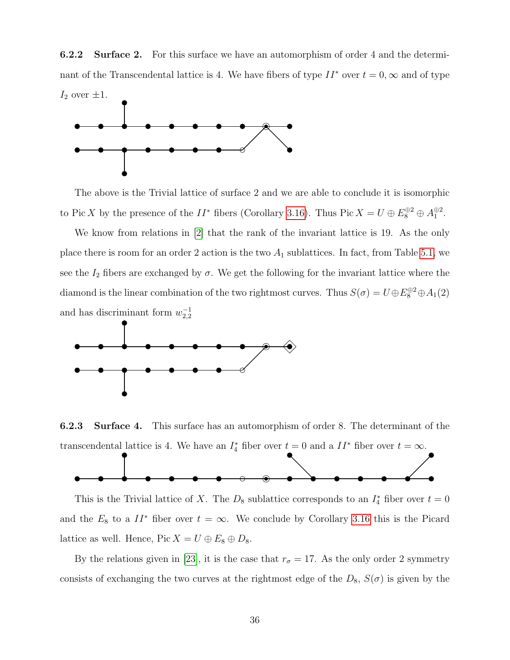6.2.2 Surface 2. For this surface we have an automorphism of order 4 and the determinant of the Transcendental lattice is 4. We have fibers of type  $II^*$  over  $t = 0, \infty$  and of type  $I_2$  over  $\pm 1$ .



The above is the Trivial lattice of surface 2 and we are able to conclude it is isomorphic to Pic X by the presence of the  $II^*$  fibers (Corollary [3.16\)](#page-24-0). Thus Pic  $X = U \oplus E_8^{\oplus 2} \oplus A_1^{\oplus 2}$ .

We know from relations in [\[2\]](#page-64-0) that the rank of the invariant lattice is 19. As the only place there is room for an order 2 action is the two  $A_1$  sublattices. In fact, from Table [5.1,](#page-35-0) we see the  $I_2$  fibers are exchanged by  $\sigma$ . We get the following for the invariant lattice where the diamond is the linear combination of the two rightmost curves. Thus  $S(\sigma) = U \oplus E_8^{\oplus 2} \oplus A_1(2)$ and has discriminant form  $w_{2,2}^{-1}$ 



6.2.3 Surface 4. This surface has an automorphism of order 8. The determinant of the transcendental lattice is 4. We have an  $I_4^*$  fiber over  $t = 0$  and a  $II^*$  fiber over  $t = \infty$ .



This is the Trivial lattice of X. The  $D_8$  sublattice corresponds to an  $I_4^*$  fiber over  $t = 0$ and the  $E_8$  to a  $II^*$  fiber over  $t = \infty$ . We conclude by Corollary [3.16](#page-24-0) this is the Picard lattice as well. Hence, Pic  $X = U \oplus E_8 \oplus D_8$ .

By the relations given in [\[23\]](#page-66-7), it is the case that  $r_{\sigma} = 17$ . As the only order 2 symmetry consists of exchanging the two curves at the rightmost edge of the  $D_8$ ,  $S(\sigma)$  is given by the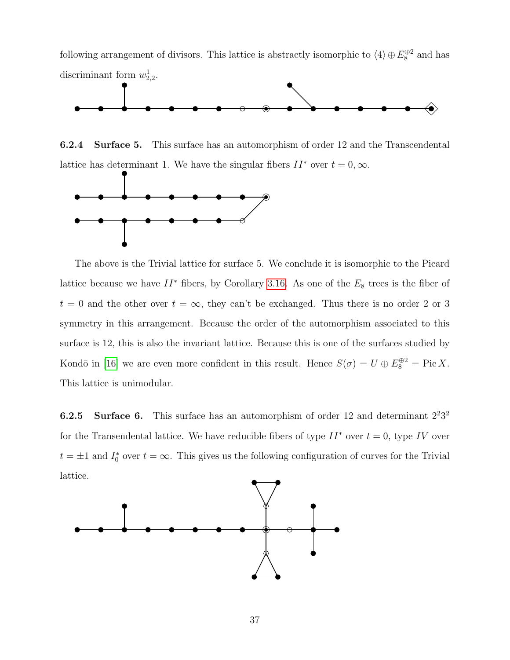following arrangement of divisors. This lattice is abstractly isomorphic to  $\langle 4 \rangle \oplus E_8^{\oplus 2}$  and has discriminant form  $w_{2,2}^1$ .



6.2.4 Surface 5. This surface has an automorphism of order 12 and the Transcendental lattice has determinant 1. We have the singular fibers  $II^*$  over  $t = 0, \infty$ .



The above is the Trivial lattice for surface 5. We conclude it is isomorphic to the Picard lattice because we have  $II^*$  fibers, by Corollary [3.16.](#page-24-0) As one of the  $E_8$  trees is the fiber of  $t = 0$  and the other over  $t = \infty$ , they can't be exchanged. Thus there is no order 2 or 3 symmetry in this arrangement. Because the order of the automorphism associated to this surface is 12, this is also the invariant lattice. Because this is one of the surfaces studied by Kondō in [\[16\]](#page-66-9) we are even more confident in this result. Hence  $S(\sigma) = U \oplus E_8^{\oplus 2} = \text{Pic } X$ . This lattice is unimodular.

**6.2.5** Surface 6. This surface has an automorphism of order 12 and determinant  $2^23^2$ for the Transendental lattice. We have reducible fibers of type  $II^*$  over  $t = 0$ , type IV over  $t = \pm 1$  and  $I_0^*$  over  $t = \infty$ . This gives us the following configuration of curves for the Trivial lattice.

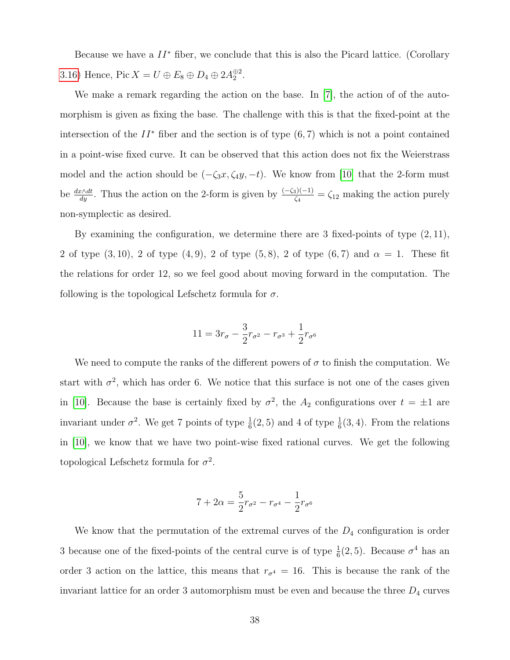Because we have a  $II^*$  fiber, we conclude that this is also the Picard lattice. (Corollary [3.16\)](#page-24-0) Hence, Pic  $X = U \oplus E_8 \oplus D_4 \oplus 2A_2^{\oplus 2}$ .

We make a remark regarding the action on the base. In [\[7\]](#page-65-9), the action of of the automorphism is given as fixing the base. The challenge with this is that the fixed-point at the intersection of the  $II^*$  fiber and the section is of type  $(6, 7)$  which is not a point contained in a point-wise fixed curve. It can be observed that this action does not fix the Weierstrass model and the action should be  $(-\zeta_3x, \zeta_4y, -t)$ . We know from [\[10\]](#page-65-5) that the 2-form must be  $\frac{dx\wedge dt}{dy}$ . Thus the action on the 2-form is given by  $\frac{(-\zeta_3)(-1)}{\zeta_4} = \zeta_{12}$  making the action purely non-symplectic as desired.

By examining the configuration, we determine there are  $3$  fixed-points of type  $(2, 11)$ , 2 of type  $(3, 10)$ , 2 of type  $(4, 9)$ , 2 of type  $(5, 8)$ , 2 of type  $(6, 7)$  and  $\alpha = 1$ . These fit the relations for order 12, so we feel good about moving forward in the computation. The following is the topological Lefschetz formula for  $\sigma$ .

$$
11 = 3r_{\sigma} - \frac{3}{2}r_{\sigma^2} - r_{\sigma^3} + \frac{1}{2}r_{\sigma^6}
$$

We need to compute the ranks of the different powers of  $\sigma$  to finish the computation. We start with  $\sigma^2$ , which has order 6. We notice that this surface is not one of the cases given in [\[10\]](#page-65-5). Because the base is certainly fixed by  $\sigma^2$ , the  $A_2$  configurations over  $t = \pm 1$  are invariant under  $\sigma^2$ . We get 7 points of type  $\frac{1}{6}(2, 5)$  and 4 of type  $\frac{1}{6}(3, 4)$ . From the relations in [\[10\]](#page-65-5), we know that we have two point-wise fixed rational curves. We get the following topological Lefschetz formula for  $\sigma^2$ .

$$
7 + 2\alpha = \frac{5}{2}r_{\sigma^2} - r_{\sigma^4} - \frac{1}{2}r_{\sigma^6}
$$

We know that the permutation of the extremal curves of the  $D_4$  configuration is order 3 because one of the fixed-points of the central curve is of type  $\frac{1}{6}(2, 5)$ . Because  $\sigma^4$  has an order 3 action on the lattice, this means that  $r_{\sigma^4} = 16$ . This is because the rank of the invariant lattice for an order 3 automorphism must be even and because the three  $D_4$  curves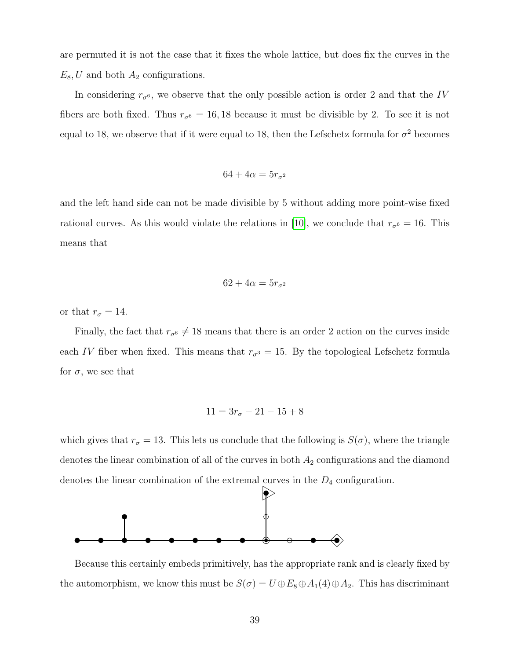are permuted it is not the case that it fixes the whole lattice, but does fix the curves in the  $E_8$ , U and both  $A_2$  configurations.

In considering  $r_{\sigma^6}$ , we observe that the only possible action is order 2 and that the IV fibers are both fixed. Thus  $r_{\sigma} = 16, 18$  because it must be divisible by 2. To see it is not equal to 18, we observe that if it were equal to 18, then the Lefschetz formula for  $\sigma^2$  becomes

$$
64 + 4\alpha = 5r_{\sigma^2}
$$

and the left hand side can not be made divisible by 5 without adding more point-wise fixed rational curves. As this would violate the relations in [\[10\]](#page-65-5), we conclude that  $r_{\sigma} = 16$ . This means that

$$
62 + 4\alpha = 5r_{\sigma^2}
$$

or that  $r_{\sigma} = 14$ .

Finally, the fact that  $r_{\sigma} \neq 18$  means that there is an order 2 action on the curves inside each IV fiber when fixed. This means that  $r_{\sigma^3} = 15$ . By the topological Lefschetz formula for  $\sigma$ , we see that

$$
11 = 3r_{\sigma} - 21 - 15 + 8
$$

which gives that  $r_{\sigma} = 13$ . This lets us conclude that the following is  $S(\sigma)$ , where the triangle denotes the linear combination of all of the curves in both  $A_2$  configurations and the diamond denotes the linear combination of the extremal curves in the  $D_4$  configuration.



Because this certainly embeds primitively, has the appropriate rank and is clearly fixed by the automorphism, we know this must be  $S(\sigma) = U \oplus E_8 \oplus A_1(4) \oplus A_2$ . This has discriminant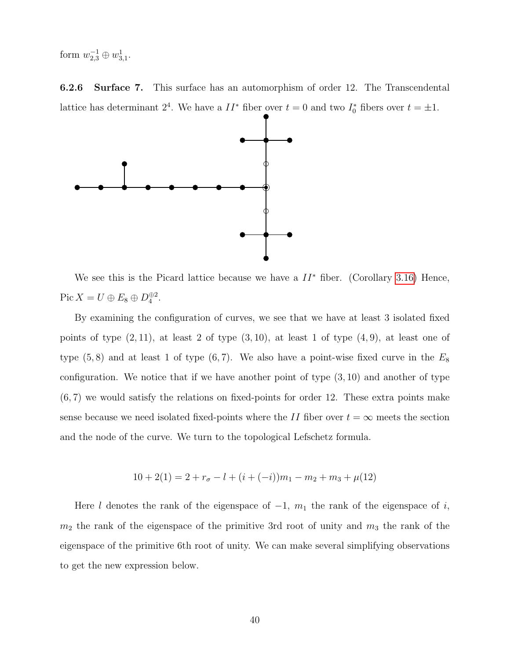form  $w_{2,3}^{-1} \oplus w_{3,1}^1$ .

6.2.6 Surface 7. This surface has an automorphism of order 12. The Transcendental lattice has determinant  $2^4$ . We have a  $II^*$  fiber over  $t = 0$  and two  $I_0^*$  fibers over  $t = \pm 1$ .



We see this is the Picard lattice because we have a  $II^*$  fiber. (Corollary [3.16\)](#page-24-0) Hence, Pic  $X = U \oplus E_8 \oplus D_4^{\oplus 2}$ .

By examining the configuration of curves, we see that we have at least 3 isolated fixed points of type  $(2, 11)$ , at least 2 of type  $(3, 10)$ , at least 1 of type  $(4, 9)$ , at least one of type  $(5, 8)$  and at least 1 of type  $(6, 7)$ . We also have a point-wise fixed curve in the  $E_8$ configuration. We notice that if we have another point of type  $(3, 10)$  and another of type (6, 7) we would satisfy the relations on fixed-points for order 12. These extra points make sense because we need isolated fixed-points where the II fiber over  $t = \infty$  meets the section and the node of the curve. We turn to the topological Lefschetz formula.

$$
10 + 2(1) = 2 + r_{\sigma} - l + (i + (-i))m_1 - m_2 + m_3 + \mu(12)
$$

Here l denotes the rank of the eigenspace of  $-1$ ,  $m_1$  the rank of the eigenspace of i,  $m_2$  the rank of the eigenspace of the primitive 3rd root of unity and  $m_3$  the rank of the eigenspace of the primitive 6th root of unity. We can make several simplifying observations to get the new expression below.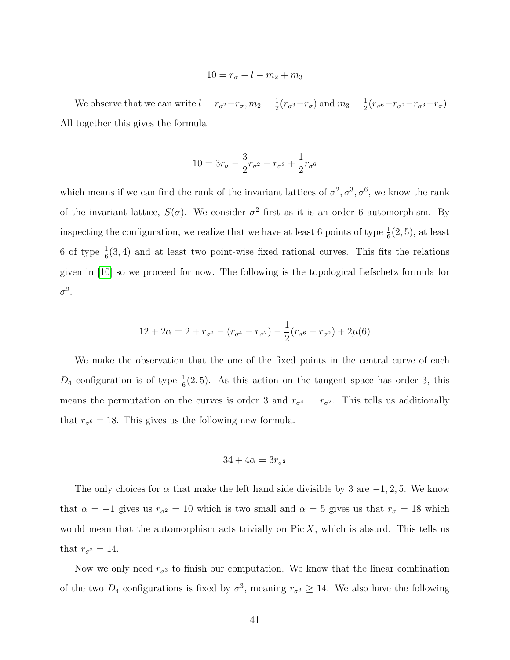$$
10 = r_{\sigma} - l - m_2 + m_3
$$

We observe that we can write  $l = r_{\sigma^2} - r_{\sigma}$ ,  $m_2 = \frac{1}{2}$  $\frac{1}{2}(r_{\sigma^3}-r_{\sigma})$  and  $m_3=\frac{1}{2}$  $\frac{1}{2}(r_{\sigma^6}-r_{\sigma^2}-r_{\sigma^3}+r_{\sigma}).$ All together this gives the formula

$$
10 = 3r_{\sigma} - \frac{3}{2}r_{\sigma^2} - r_{\sigma^3} + \frac{1}{2}r_{\sigma^6}
$$

which means if we can find the rank of the invariant lattices of  $\sigma^2, \sigma^3, \sigma^6$ , we know the rank of the invariant lattice,  $S(\sigma)$ . We consider  $\sigma^2$  first as it is an order 6 automorphism. By inspecting the configuration, we realize that we have at least 6 points of type  $\frac{1}{6}(2,5)$ , at least 6 of type  $\frac{1}{6}(3, 4)$  and at least two point-wise fixed rational curves. This fits the relations given in [\[10\]](#page-65-5) so we proceed for now. The following is the topological Lefschetz formula for  $\sigma^2$ .

$$
12 + 2\alpha = 2 + r_{\sigma^2} - (r_{\sigma^4} - r_{\sigma^2}) - \frac{1}{2}(r_{\sigma^6} - r_{\sigma^2}) + 2\mu(6)
$$

We make the observation that the one of the fixed points in the central curve of each  $D_4$  configuration is of type  $\frac{1}{6}(2, 5)$ . As this action on the tangent space has order 3, this means the permutation on the curves is order 3 and  $r_{\sigma^4} = r_{\sigma^2}$ . This tells us additionally that  $r_{\sigma^6} = 18$ . This gives us the following new formula.

$$
34 + 4\alpha = 3r_{\sigma^2}
$$

The only choices for  $\alpha$  that make the left hand side divisible by 3 are  $-1, 2, 5$ . We know that  $\alpha = -1$  gives us  $r_{\sigma^2} = 10$  which is two small and  $\alpha = 5$  gives us that  $r_{\sigma} = 18$  which would mean that the automorphism acts trivially on  $Pic X$ , which is absurd. This tells us that  $r_{\sigma^2} = 14$ .

Now we only need  $r_{\sigma^3}$  to finish our computation. We know that the linear combination of the two  $D_4$  configurations is fixed by  $\sigma^3$ , meaning  $r_{\sigma^3} \ge 14$ . We also have the following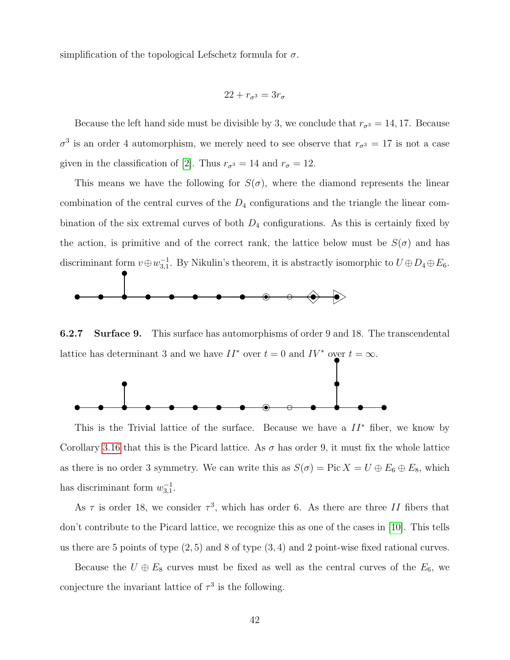simplification of the topological Lefschetz formula for  $\sigma$ .

$$
22 + r_{\sigma^3} = 3r_{\sigma}
$$

Because the left hand side must be divisible by 3, we conclude that  $r_{\sigma^3} = 14, 17$ . Because  $\sigma^3$  is an order 4 automorphism, we merely need to see observe that  $r_{\sigma^3} = 17$  is not a case given in the classification of [\[2\]](#page-64-0). Thus  $r_{\sigma^3} = 14$  and  $r_{\sigma} = 12$ .

This means we have the following for  $S(\sigma)$ , where the diamond represents the linear combination of the central curves of the  $D_4$  configurations and the triangle the linear combination of the six extremal curves of both  $D_4$  configurations. As this is certainly fixed by the action, is primitive and of the correct rank, the lattice below must be  $S(\sigma)$  and has discriminant form  $v \oplus w_{3,1}^{-1}$ . By Nikulin's theorem, it is abstractly isomorphic to  $U \oplus D_4 \oplus E_6$ .



6.2.7 Surface 9. This surface has automorphisms of order 9 and 18. The transcendental lattice has determinant 3 and we have  $II^*$  over  $t = 0$  and  $IV^*$  over  $t = \infty$ .



This is the Trivial lattice of the surface. Because we have a  $II^*$  fiber, we know by Corollary [3.16](#page-24-0) that this is the Picard lattice. As  $\sigma$  has order 9, it must fix the whole lattice as there is no order 3 symmetry. We can write this as  $S(\sigma) = Pic X = U \oplus E_6 \oplus E_8$ , which has discriminant form  $w_{3,1}^{-1}$ .

As  $\tau$  is order 18, we consider  $\tau^3$ , which has order 6. As there are three II fibers that don't contribute to the Picard lattice, we recognize this as one of the cases in [\[10\]](#page-65-5). This tells us there are 5 points of type  $(2, 5)$  and 8 of type  $(3, 4)$  and 2 point-wise fixed rational curves.

Because the  $U \oplus E_8$  curves must be fixed as well as the central curves of the  $E_6$ , we conjecture the invariant lattice of  $\tau^3$  is the following.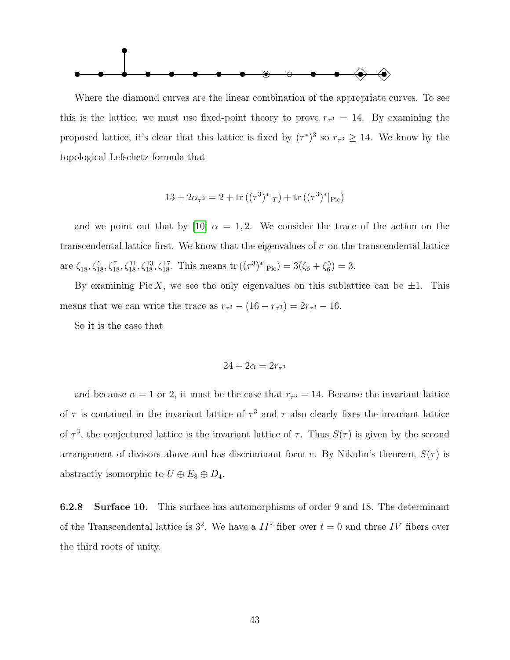

Where the diamond curves are the linear combination of the appropriate curves. To see this is the lattice, we must use fixed-point theory to prove  $r_{\tau^3} = 14$ . By examining the proposed lattice, it's clear that this lattice is fixed by  $(\tau^*)^3$  so  $r_{\tau^3} \geq 14$ . We know by the topological Lefschetz formula that

$$
13 + 2\alpha_{\tau^3} = 2 + \text{tr}\left((\tau^3)^*|_T\right) + \text{tr}\left((\tau^3)^*|_{\text{Pic}}\right)
$$

and we point out that by [\[10\]](#page-65-5)  $\alpha = 1, 2$ . We consider the trace of the action on the transcendental lattice first. We know that the eigenvalues of  $\sigma$  on the transcendental lattice are  $\zeta_{18}, \zeta_{18}^5, \zeta_{18}^7, \zeta_{18}^{11}, \zeta_{18}^{13}, \zeta_{18}^{17}$ . This means  $\text{tr}((\tau^3)^*|_{\text{Pic}}) = 3(\zeta_6 + \zeta_6^5) = 3$ .

By examining Pic X, we see the only eigenvalues on this sublattice can be  $\pm 1$ . This means that we can write the trace as  $r_{\tau^3} - (16 - r_{\tau^3}) = 2r_{\tau^3} - 16$ .

So it is the case that

$$
24 + 2\alpha = 2r_{\tau^3}
$$

and because  $\alpha = 1$  or 2, it must be the case that  $r_{\tau^3} = 14$ . Because the invariant lattice of  $\tau$  is contained in the invariant lattice of  $\tau^3$  and  $\tau$  also clearly fixes the invariant lattice of  $\tau^3$ , the conjectured lattice is the invariant lattice of  $\tau$ . Thus  $S(\tau)$  is given by the second arrangement of divisors above and has discriminant form v. By Nikulin's theorem,  $S(\tau)$  is abstractly isomorphic to  $U \oplus E_8 \oplus D_4$ .

6.2.8 Surface 10. This surface has automorphisms of order 9 and 18. The determinant of the Transcendental lattice is  $3^2$ . We have a  $II^*$  fiber over  $t = 0$  and three IV fibers over the third roots of unity.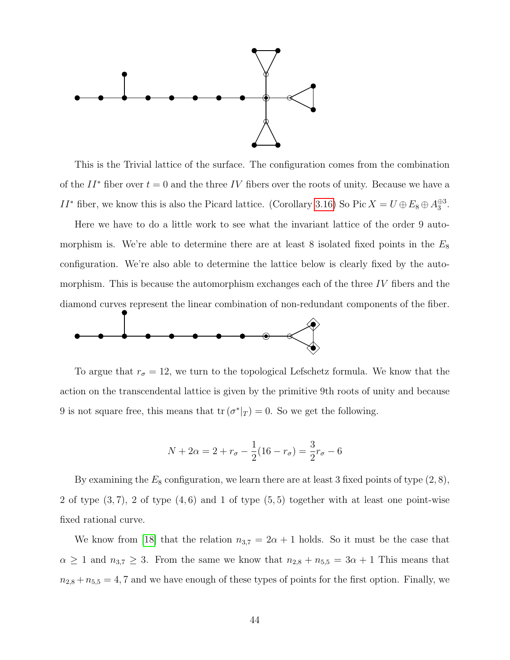

This is the Trivial lattice of the surface. The configuration comes from the combination of the  $II^*$  fiber over  $t = 0$  and the three IV fibers over the roots of unity. Because we have a II<sup>\*</sup> fiber, we know this is also the Picard lattice. (Corollary [3.16\)](#page-24-0) So Pic  $X = U \oplus E_8 \oplus A_3^{\oplus 3}$ .

Here we have to do a little work to see what the invariant lattice of the order 9 automorphism is. We're able to determine there are at least 8 isolated fixed points in the  $E_8$ configuration. We're also able to determine the lattice below is clearly fixed by the automorphism. This is because the automorphism exchanges each of the three IV fibers and the diamond curves represent the linear combination of non-redundant components of the fiber.



To argue that  $r_{\sigma} = 12$ , we turn to the topological Lefschetz formula. We know that the action on the transcendental lattice is given by the primitive 9th roots of unity and because 9 is not square free, this means that  $tr(\sigma^*|_T) = 0$ . So we get the following.

$$
N + 2\alpha = 2 + r_{\sigma} - \frac{1}{2}(16 - r_{\sigma}) = \frac{3}{2}r_{\sigma} - 6
$$

By examining the  $E_8$  configuration, we learn there are at least 3 fixed points of type  $(2, 8)$ , 2 of type  $(3, 7)$ , 2 of type  $(4, 6)$  and 1 of type  $(5, 5)$  together with at least one point-wise fixed rational curve.

We know from [\[18\]](#page-66-10) that the relation  $n_{3,7} = 2\alpha + 1$  holds. So it must be the case that  $\alpha \geq 1$  and  $n_{3,7} \geq 3$ . From the same we know that  $n_{2,8} + n_{5,5} = 3\alpha + 1$  This means that  $n_{2,8} + n_{5,5} = 4, 7$  and we have enough of these types of points for the first option. Finally, we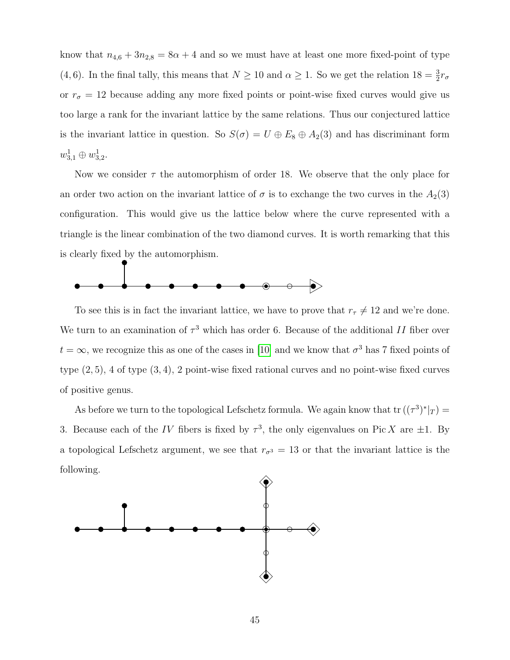know that  $n_{4,6} + 3n_{2,8} = 8\alpha + 4$  and so we must have at least one more fixed-point of type (4, 6). In the final tally, this means that  $N \ge 10$  and  $\alpha \ge 1$ . So we get the relation  $18 = \frac{3}{2}r_{\sigma}$ or  $r_{\sigma} = 12$  because adding any more fixed points or point-wise fixed curves would give us too large a rank for the invariant lattice by the same relations. Thus our conjectured lattice is the invariant lattice in question. So  $S(\sigma) = U \oplus E_8 \oplus A_2(3)$  and has discriminant form  $w_{3,1}^1 \oplus w_{3,2}^1$ .

Now we consider  $\tau$  the automorphism of order 18. We observe that the only place for an order two action on the invariant lattice of  $\sigma$  is to exchange the two curves in the  $A_2(3)$ configuration. This would give us the lattice below where the curve represented with a triangle is the linear combination of the two diamond curves. It is worth remarking that this is clearly fixed by the automorphism.



To see this is in fact the invariant lattice, we have to prove that  $r<sub>\tau</sub> \neq 12$  and we're done. We turn to an examination of  $\tau^3$  which has order 6. Because of the additional II fiber over  $t = \infty$ , we recognize this as one of the cases in [\[10\]](#page-65-5) and we know that  $\sigma^3$  has 7 fixed points of type (2, 5), 4 of type (3, 4), 2 point-wise fixed rational curves and no point-wise fixed curves of positive genus.

As before we turn to the topological Lefschetz formula. We again know that  $tr((\tau^3)^*|_T) =$ 3. Because each of the IV fibers is fixed by  $\tau^3$ , the only eigenvalues on Pic X are  $\pm 1$ . By a topological Lefschetz argument, we see that  $r_{\sigma^3} = 13$  or that the invariant lattice is the following.

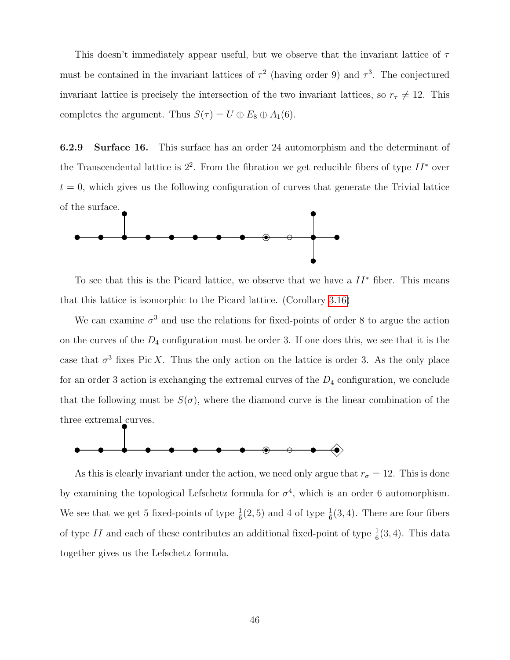This doesn't immediately appear useful, but we observe that the invariant lattice of  $\tau$ must be contained in the invariant lattices of  $\tau^2$  (having order 9) and  $\tau^3$ . The conjectured invariant lattice is precisely the intersection of the two invariant lattices, so  $r<sub>\tau</sub> \neq 12$ . This completes the argument. Thus  $S(\tau) = U \oplus E_8 \oplus A_1(6)$ .

6.2.9 Surface 16. This surface has an order 24 automorphism and the determinant of the Transcendental lattice is  $2^2$ . From the fibration we get reducible fibers of type  $II^*$  over  $t = 0$ , which gives us the following configuration of curves that generate the Trivial lattice of the surface.



To see that this is the Picard lattice, we observe that we have a  $II^*$  fiber. This means that this lattice is isomorphic to the Picard lattice. (Corollary [3.16\)](#page-24-0)

We can examine  $\sigma^3$  and use the relations for fixed-points of order 8 to argue the action on the curves of the  $D_4$  configuration must be order 3. If one does this, we see that it is the case that  $\sigma^3$  fixes Pic X. Thus the only action on the lattice is order 3. As the only place for an order 3 action is exchanging the extremal curves of the  $D_4$  configuration, we conclude that the following must be  $S(\sigma)$ , where the diamond curve is the linear combination of the three extremal curves.



As this is clearly invariant under the action, we need only argue that  $r_{\sigma} = 12$ . This is done by examining the topological Lefschetz formula for  $\sigma^4$ , which is an order 6 automorphism. We see that we get 5 fixed-points of type  $\frac{1}{6}(2,5)$  and 4 of type  $\frac{1}{6}(3,4)$ . There are four fibers of type II and each of these contributes an additional fixed-point of type  $\frac{1}{6}(3, 4)$ . This data together gives us the Lefschetz formula.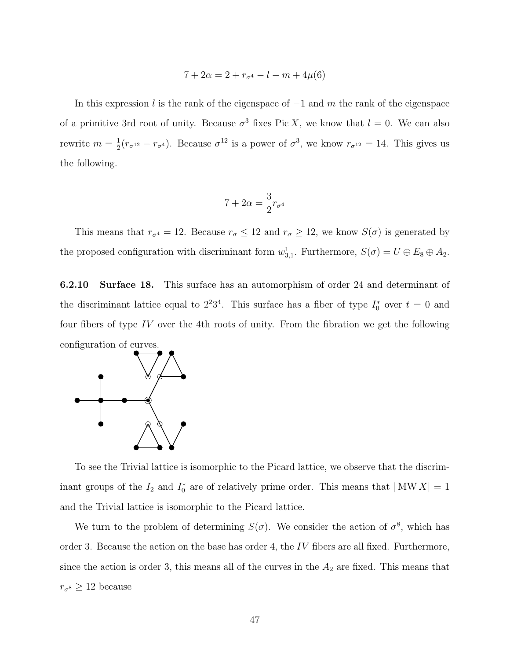$$
7 + 2\alpha = 2 + r_{\sigma^4} - l - m + 4\mu(6)
$$

In this expression l is the rank of the eigenspace of  $-1$  and m the rank of the eigenspace of a primitive 3rd root of unity. Because  $\sigma^3$  fixes Pic X, we know that  $l = 0$ . We can also rewrite  $m=\frac{1}{2}$  $\frac{1}{2}(r_{\sigma^{12}}-r_{\sigma^4})$ . Because  $\sigma^{12}$  is a power of  $\sigma^3$ , we know  $r_{\sigma^{12}}=14$ . This gives us the following.

$$
7 + 2\alpha = \frac{3}{2}r_{\sigma^4}
$$

This means that  $r_{\sigma^4} = 12$ . Because  $r_{\sigma} \leq 12$  and  $r_{\sigma} \geq 12$ , we know  $S(\sigma)$  is generated by the proposed configuration with discriminant form  $w_{3,1}^1$ . Furthermore,  $S(\sigma) = U \oplus E_8 \oplus A_2$ .

6.2.10 Surface 18. This surface has an automorphism of order 24 and determinant of the discriminant lattice equal to  $2^23^4$ . This surface has a fiber of type  $I_0^*$  over  $t=0$  and four fibers of type  $IV$  over the 4th roots of unity. From the fibration we get the following configuration of curves.



To see the Trivial lattice is isomorphic to the Picard lattice, we observe that the discriminant groups of the  $I_2$  and  $I_0^*$  are of relatively prime order. This means that  $|MW X| = 1$ and the Trivial lattice is isomorphic to the Picard lattice.

We turn to the problem of determining  $S(\sigma)$ . We consider the action of  $\sigma^8$ , which has order 3. Because the action on the base has order 4, the  $IV$  fibers are all fixed. Furthermore, since the action is order 3, this means all of the curves in the  $A_2$  are fixed. This means that  $r_{\sigma^8} \geq 12$  because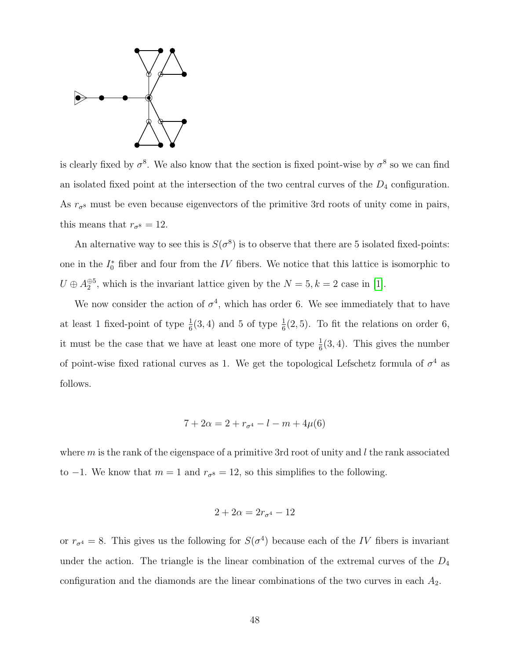

is clearly fixed by  $\sigma^8$ . We also know that the section is fixed point-wise by  $\sigma^8$  so we can find an isolated fixed point at the intersection of the two central curves of the  $D_4$  configuration. As  $r_{\sigma^8}$  must be even because eigenvectors of the primitive 3rd roots of unity come in pairs, this means that  $r_{\sigma^8} = 12$ .

An alternative way to see this is  $S(\sigma^8)$  is to observe that there are 5 isolated fixed-points: one in the  $I_0^*$  fiber and four from the IV fibers. We notice that this lattice is isomorphic to  $U \oplus A_2^{\oplus 5}$ , which is the invariant lattice given by the  $N = 5, k = 2$  case in [\[1\]](#page-64-1).

We now consider the action of  $\sigma^4$ , which has order 6. We see immediately that to have at least 1 fixed-point of type  $\frac{1}{6}(3,4)$  and 5 of type  $\frac{1}{6}(2,5)$ . To fit the relations on order 6, it must be the case that we have at least one more of type  $\frac{1}{6}(3, 4)$ . This gives the number of point-wise fixed rational curves as 1. We get the topological Lefschetz formula of  $\sigma^4$  as follows.

$$
7 + 2\alpha = 2 + r_{\sigma^4} - l - m + 4\mu(6)
$$

where  $m$  is the rank of the eigenspace of a primitive 3rd root of unity and  $l$  the rank associated to −1. We know that  $m = 1$  and  $r_{\sigma}$ <sup>8</sup> = 12, so this simplifies to the following.

$$
2 + 2\alpha = 2r_{\sigma^4} - 12
$$

or  $r_{\sigma^4} = 8$ . This gives us the following for  $S(\sigma^4)$  because each of the IV fibers is invariant under the action. The triangle is the linear combination of the extremal curves of the  $D_4$ configuration and the diamonds are the linear combinations of the two curves in each  $A_2$ .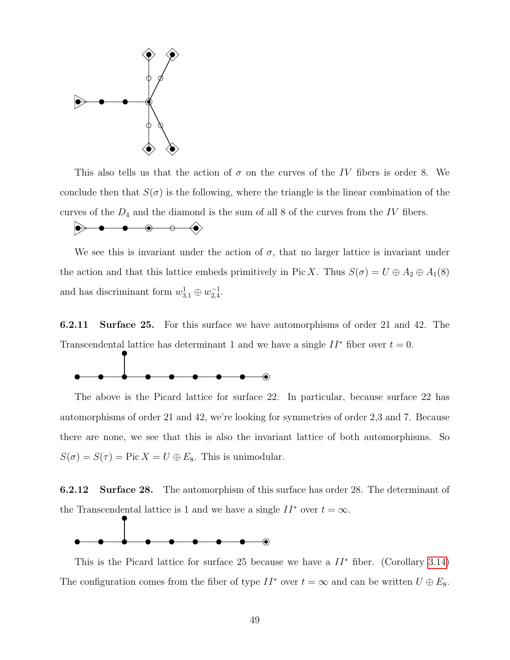

This also tells us that the action of  $\sigma$  on the curves of the IV fibers is order 8. We conclude then that  $S(\sigma)$  is the following, where the triangle is the linear combination of the curves of the  $D_4$  and the diamond is the sum of all 8 of the curves from the IV fibers.

$$
\bullet\hspace{10pt}\bullet\hspace{10pt}\bullet\hspace{10pt}\bullet\hspace{10pt}\bullet\hspace{10pt}\bullet\hspace{10pt}\bullet
$$

We see this is invariant under the action of  $\sigma$ , that no larger lattice is invariant under the action and that this lattice embeds primitively in Pic X. Thus  $S(\sigma) = U \oplus A_2 \oplus A_1(8)$ and has discriminant form  $w_{3,1}^1 \oplus w_{2,4}^{-1}$ .

6.2.11 Surface 25. For this surface we have automorphisms of order 21 and 42. The Transcendental lattice has determinant 1 and we have a single  $II^*$  fiber over  $t = 0$ .



The above is the Picard lattice for surface 22. In particular, because surface 22 has automorphisms of order 21 and 42, we're looking for symmetries of order 2,3 and 7. Because there are none, we see that this is also the invariant lattice of both automorphisms. So  $S(\sigma) = S(\tau) = Pic X = U \oplus E_8$ . This is unimodular.

6.2.12 Surface 28. The automorphism of this surface has order 28. The determinant of the Transcendental lattice is 1 and we have a single  $II^*$  over  $t = \infty$ .



This is the Picard lattice for surface 25 because we have a  $II^*$  fiber. (Corollary [3.14\)](#page-24-1) The configuration comes from the fiber of type  $II^*$  over  $t = \infty$  and can be written  $U \oplus E_8$ .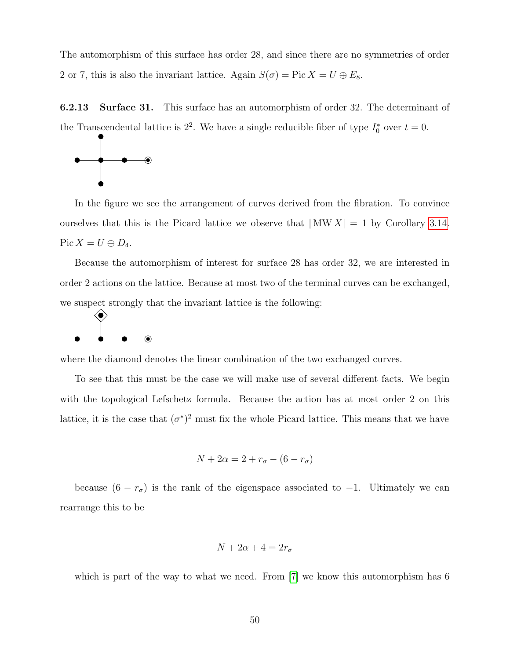The automorphism of this surface has order 28, and since there are no symmetries of order 2 or 7, this is also the invariant lattice. Again  $S(\sigma) = Pic X = U \oplus E_8$ .

6.2.13 Surface 31. This surface has an automorphism of order 32. The determinant of the Transcendental lattice is  $2^2$ . We have a single reducible fiber of type  $I_0^*$  over  $t = 0$ .



In the figure we see the arrangement of curves derived from the fibration. To convince ourselves that this is the Picard lattice we observe that  $|MW X| = 1$  by Corollary [3.14.](#page-24-1) Pic  $X = U \oplus D_4$ .

Because the automorphism of interest for surface 28 has order 32, we are interested in order 2 actions on the lattice. Because at most two of the terminal curves can be exchanged, we suspect strongly that the invariant lattice is the following:



where the diamond denotes the linear combination of the two exchanged curves.

To see that this must be the case we will make use of several different facts. We begin with the topological Lefschetz formula. Because the action has at most order 2 on this lattice, it is the case that  $(\sigma^*)^2$  must fix the whole Picard lattice. This means that we have

$$
N + 2\alpha = 2 + r_{\sigma} - (6 - r_{\sigma})
$$

because  $(6 - r_{\sigma})$  is the rank of the eigenspace associated to -1. Ultimately we can rearrange this to be

$$
N + 2\alpha + 4 = 2r_{\sigma}
$$

which is part of the way to what we need. From [\[7\]](#page-65-9) we know this automorphism has 6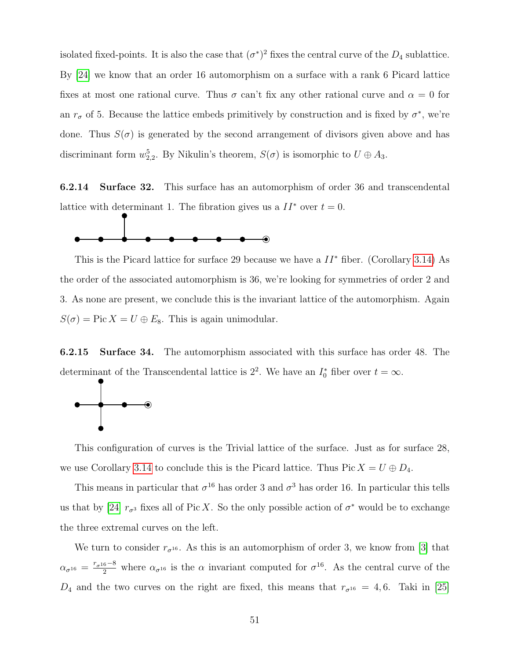isolated fixed-points. It is also the case that  $(\sigma^*)^2$  fixes the central curve of the  $D_4$  sublattice. By [\[24\]](#page-66-6) we know that an order 16 automorphism on a surface with a rank 6 Picard lattice fixes at most one rational curve. Thus  $\sigma$  can't fix any other rational curve and  $\alpha = 0$  for an  $r_{\sigma}$  of 5. Because the lattice embeds primitively by construction and is fixed by  $\sigma^*$ , we're done. Thus  $S(\sigma)$  is generated by the second arrangement of divisors given above and has discriminant form  $w_{2,2}^5$ . By Nikulin's theorem,  $S(\sigma)$  is isomorphic to  $U \oplus A_3$ .

6.2.14 Surface 32. This surface has an automorphism of order 36 and transcendental lattice with determinant 1. The fibration gives us a  $II^*$  over  $t = 0$ .



This is the Picard lattice for surface 29 because we have a  $II^*$  fiber. (Corollary [3.14\)](#page-24-1) As the order of the associated automorphism is 36, we're looking for symmetries of order 2 and 3. As none are present, we conclude this is the invariant lattice of the automorphism. Again  $S(\sigma) = Pic X = U \oplus E_8$ . This is again unimodular.

6.2.15 Surface 34. The automorphism associated with this surface has order 48. The determinant of the Transcendental lattice is  $2^2$ . We have an  $I_0^*$  fiber over  $t = \infty$ .



This configuration of curves is the Trivial lattice of the surface. Just as for surface 28, we use Corollary [3.14](#page-24-1) to conclude this is the Picard lattice. Thus Pic  $X = U \oplus D_4$ .

This means in particular that  $\sigma^{16}$  has order 3 and  $\sigma^3$  has order 16. In particular this tells us that by [\[24\]](#page-66-6)  $r_{\sigma^3}$  fixes all of Pic X. So the only possible action of  $\sigma^*$  would be to exchange the three extremal curves on the left.

We turn to consider  $r_{\sigma^{16}}$ . As this is an automorphism of order 3, we know from [\[3\]](#page-65-8) that  $\alpha_{\sigma^{16}} = \frac{r_{\sigma^{16}}-8}{2}$  where  $\alpha_{\sigma^{16}}$  is the  $\alpha$  invariant computed for  $\sigma^{16}$ . As the central curve of the  $D_4$  and the two curves on the right are fixed, this means that  $r_{\sigma^{16}} = 4, 6$ . Taki in [\[25\]](#page-67-0)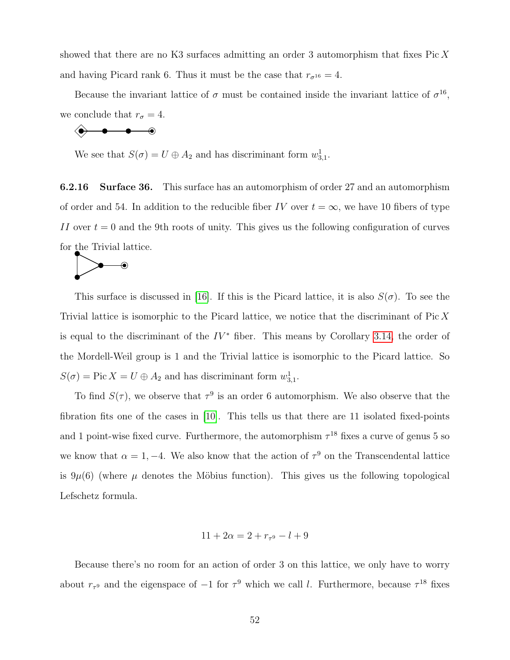showed that there are no K3 surfaces admitting an order 3 automorphism that fixes Pic  $X$ and having Picard rank 6. Thus it must be the case that  $r_{\sigma^{16}} = 4$ .

Because the invariant lattice of  $\sigma$  must be contained inside the invariant lattice of  $\sigma^{16}$ , we conclude that  $r_{\sigma} = 4$ .

$$
\begin{array}{ccc}\n\bullet & \bullet & \bullet & \bullet\n\end{array}
$$

We see that  $S(\sigma) = U \oplus A_2$  and has discriminant form  $w_{3,1}^1$ .

6.2.16 Surface 36. This surface has an automorphism of order 27 and an automorphism of order and 54. In addition to the reducible fiber IV over  $t = \infty$ , we have 10 fibers of type II over  $t = 0$  and the 9th roots of unity. This gives us the following configuration of curves for the Trivial lattice.



This surface is discussed in [\[16\]](#page-66-9). If this is the Picard lattice, it is also  $S(\sigma)$ . To see the Trivial lattice is isomorphic to the Picard lattice, we notice that the discriminant of Pic X is equal to the discriminant of the  $IV^*$  fiber. This means by Corollary [3.14,](#page-24-1) the order of the Mordell-Weil group is 1 and the Trivial lattice is isomorphic to the Picard lattice. So  $S(\sigma) = \text{Pic } X = U \oplus A_2$  and has discriminant form  $w_{3,1}^1$ .

To find  $S(\tau)$ , we observe that  $\tau^9$  is an order 6 automorphism. We also observe that the fibration fits one of the cases in [\[10\]](#page-65-5). This tells us that there are 11 isolated fixed-points and 1 point-wise fixed curve. Furthermore, the automorphism  $\tau^{18}$  fixes a curve of genus 5 so we know that  $\alpha = 1, -4$ . We also know that the action of  $\tau^9$  on the Transcendental lattice is  $9\mu(6)$  (where  $\mu$  denotes the Möbius function). This gives us the following topological Lefschetz formula.

$$
11 + 2\alpha = 2 + r_{\tau^9} - l + 9
$$

Because there's no room for an action of order 3 on this lattice, we only have to worry about  $r_{\tau^9}$  and the eigenspace of  $-1$  for  $\tau^9$  which we call l. Furthermore, because  $\tau^{18}$  fixes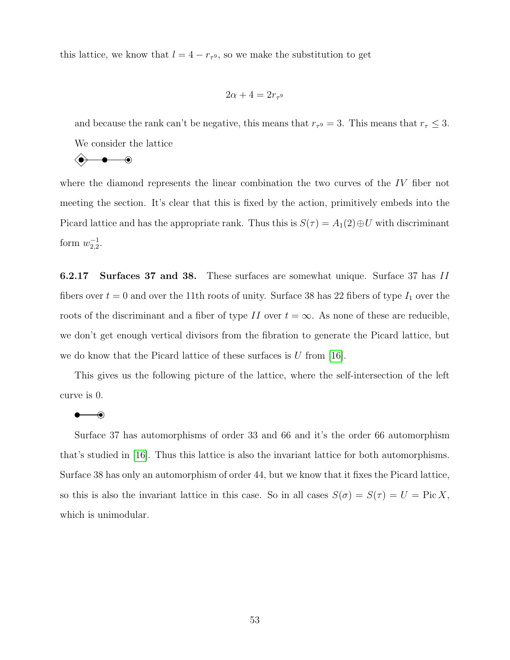this lattice, we know that  $l = 4 - r_{\tau^9}$ , so we make the substitution to get

$$
2\alpha + 4 = 2r_{\tau^9}
$$

and because the rank can't be negative, this means that  $r_{\tau} = 3$ . This means that  $r_{\tau} \leq 3$ . We consider the lattice

$$
\quad \ \ \, \textcolor{blue}{\bigcirc \hspace{-0.25em} \bullet \hspace{-0.25em} \bullet \hspace{-0.25em} \bullet \hspace{-0.25em} \bullet \hspace{-0.25em} \hspace{-0.25em} \bullet}
$$

where the diamond represents the linear combination the two curves of the IV fiber not meeting the section. It's clear that this is fixed by the action, primitively embeds into the Picard lattice and has the appropriate rank. Thus this is  $S(\tau) = A_1(2) \oplus U$  with discriminant form  $w_{2,2}^{-1}$ .

6.2.17 Surfaces 37 and 38. These surfaces are somewhat unique. Surface 37 has II fibers over  $t = 0$  and over the 11th roots of unity. Surface 38 has 22 fibers of type  $I_1$  over the roots of the discriminant and a fiber of type II over  $t = \infty$ . As none of these are reducible, we don't get enough vertical divisors from the fibration to generate the Picard lattice, but we do know that the Picard lattice of these surfaces is  $U$  from [\[16\]](#page-66-9).

This gives us the following picture of the lattice, where the self-intersection of the left curve is 0.

#### $\bullet\hspace{-4pt}-\hspace{-4pt}0$

Surface 37 has automorphisms of order 33 and 66 and it's the order 66 automorphism that's studied in [\[16\]](#page-66-9). Thus this lattice is also the invariant lattice for both automorphisms. Surface 38 has only an automorphism of order 44, but we know that it fixes the Picard lattice, so this is also the invariant lattice in this case. So in all cases  $S(\sigma) = S(\tau) = U = Pic X$ , which is unimodular.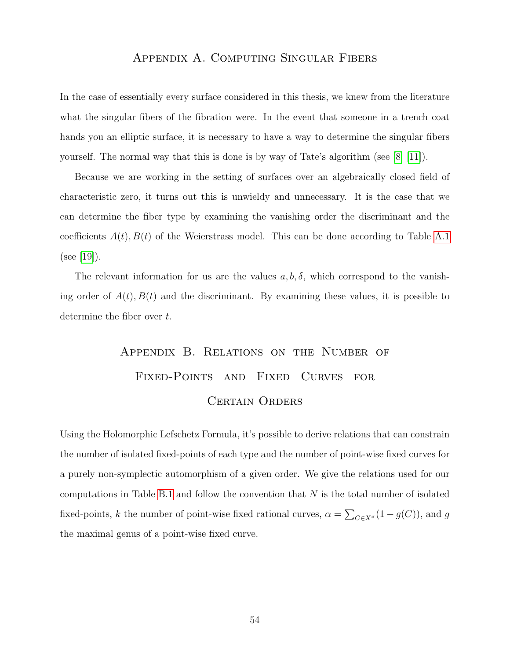#### Appendix A. Computing Singular Fibers

<span id="page-60-0"></span>In the case of essentially every surface considered in this thesis, we knew from the literature what the singular fibers of the fibration were. In the event that someone in a trench coat hands you an elliptic surface, it is necessary to have a way to determine the singular fibers yourself. The normal way that this is done is by way of Tate's algorithm (see [\[8\]](#page-65-3) [\[11\]](#page-65-10)).

Because we are working in the setting of surfaces over an algebraically closed field of characteristic zero, it turns out this is unwieldy and unnecessary. It is the case that we can determine the fiber type by examining the vanishing order the discriminant and the coefficients  $A(t), B(t)$  of the Weierstrass model. This can be done according to Table [A.1](#page-61-0) (see [\[19\]](#page-66-5)).

The relevant information for us are the values  $a, b, \delta$ , which correspond to the vanishing order of  $A(t)$ ,  $B(t)$  and the discriminant. By examining these values, it is possible to determine the fiber over t.

# <span id="page-60-1"></span>Appendix B. Relations on the Number of Fixed-Points and Fixed Curves for Certain Orders

Using the Holomorphic Lefschetz Formula, it's possible to derive relations that can constrain the number of isolated fixed-points of each type and the number of point-wise fixed curves for a purely non-symplectic automorphism of a given order. We give the relations used for our computations in Table [B.1](#page-62-1) and follow the convention that  $N$  is the total number of isolated fixed-points, k the number of point-wise fixed rational curves,  $\alpha = \sum_{C \in X^{\sigma}} (1 - g(C))$ , and g the maximal genus of a point-wise fixed curve.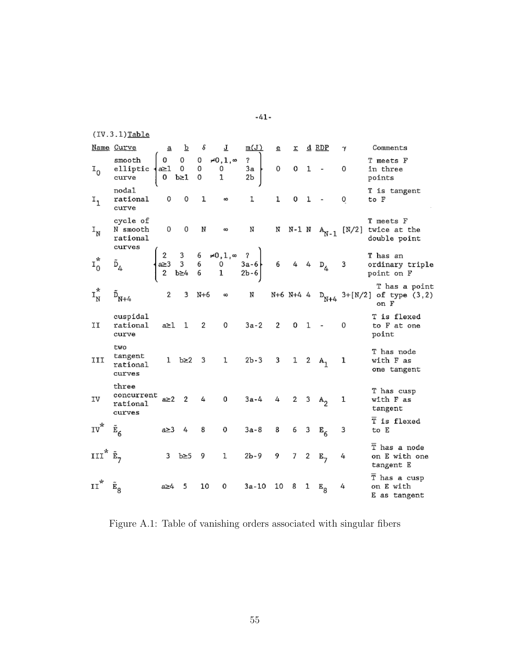$(IV.3.1)$ Table

|                           | Name Curve                                | $\mathbf{a}$ | $\bar{\mathbf{p}}$ | $\delta$       | 고                                                                                                                                                                                                     | m(J)                                            | e.          |  | r d RDP                     | $\gamma$     | Comments                                                                           |
|---------------------------|-------------------------------------------|--------------|--------------------|----------------|-------------------------------------------------------------------------------------------------------------------------------------------------------------------------------------------------------|-------------------------------------------------|-------------|--|-----------------------------|--------------|------------------------------------------------------------------------------------|
| $I_0$                     | smooth<br>elliptic<br>curve               |              |                    |                | $\begin{cases} 0 & 0 & 0 & \neq 0,1,\infty \\ a\geq 1 & 0 & 0 & 0 \\ 0 & b\geq 1 & 0 & 1 \end{cases}$                                                                                                 | $\overline{\mathbf{?}}$<br>$\frac{7}{3a}$<br>2b | 0           |  | $0 \t1$ -                   | 0            | T meets F<br>in three<br>points                                                    |
| $\mathbf{I}_{1}$          | nodal<br>rational<br>curve                | 0            | 0                  | $\mathbf{1}$   | 6Ō                                                                                                                                                                                                    | 1                                               | ı           |  | $0 \quad 1 \quad -$         | 0            | T is tangent<br>to F                                                               |
| $\mathbf{I}_{\mathbf{N}}$ | cycle of<br>N smooth<br>rational          |              | $0\qquad 0$        | ${\mathbb N}$  | $\infty$                                                                                                                                                                                              | N                                               |             |  |                             |              | T meets F<br>N N-1 N $A_{N-1}$ [N/2] twice at the<br>double point                  |
| $\mathbf{I}^*_0$          | curves                                    |              |                    |                | $\begin{array}{ccccccccc}\n2 & 3 & 6 & \neq 0, 1, \infty & ? \\ a \geq 3 & 3 & 6 & 0 & 3a-6 \\ 2 & b \geq 4 & 6 & 1 & 2b-6\n\end{array}$ $\begin{array}{ccccccccc}\n6 & 4 & 4 & D_4 & 3\n\end{array}$ |                                                 |             |  |                             |              | T has an<br>ordinary triple<br>point on F                                          |
| $I_N^*$                   | $\tilde{\mathtt{D}}_{\mathtt{N}+4}$       | $2^{\circ}$  |                    |                |                                                                                                                                                                                                       |                                                 |             |  |                             |              | T has a point<br>3 N+6 $\infty$ N +6 N+4 4 $D_{N+4}$ 3+[N/2] of type (3,2)<br>on F |
| ΪI                        | cuspidal<br>rational<br>curve             |              | a≥1 1              | $\overline{2}$ | $0 \qquad \qquad$                                                                                                                                                                                     | $3a-2$                                          | $2^{\circ}$ |  | $0 \t1 -$                   | 0            | T is flexed<br>to F at one<br>point                                                |
| III                       | two<br>tangent<br>rational<br>curves      |              |                    |                | 1 $b \ge 2$ 3 1 2b-3 3 1 2 A <sub>1</sub>                                                                                                                                                             |                                                 |             |  |                             | $\mathbf{1}$ | T has node<br>with F as<br>one tangent                                             |
| IV                        | three<br>concurrent<br>rational<br>curves |              | $a \geq 2$ 2 4     |                | $\mathbf{0}$                                                                                                                                                                                          | $3a-4$ 4                                        |             |  | 2 3 $A_2$<br>$\overline{1}$ |              | T has cusp<br>with F as<br>tangent                                                 |
| $IV^*$ $E_6$              |                                           |              | $a \geq 3$ 4       | $_{8}$         | $\mathbf{0}$                                                                                                                                                                                          | $3a-8$                                          | 8           |  | 6 3 $E_6$                   | 3            | $\overline{T}$ is flexed<br>to E                                                   |
| III" $\tilde{E}_7$        |                                           |              | 3 $b \geq 5$ 9     |                |                                                                                                                                                                                                       | $1 \t 2b-9$                                     | 9           |  | 7 2 $E_7$                   | 4            | $\overline{T}$ has a node<br>on E with one<br>tangent E                            |
| $\mathbf{H}^*$            | $E_{\rm g}$                               | a≥4          | - 5                | 10             | $\mathbf{0}$                                                                                                                                                                                          | 3a-10 10 8 1 $E_g$                              |             |  |                             | 4            | $\overline{T}$ has a cusp<br>on E with<br>E as tangent                             |

<span id="page-61-0"></span>Figure A.1: Table of vanishing orders associated with singular fibers

 $-41-$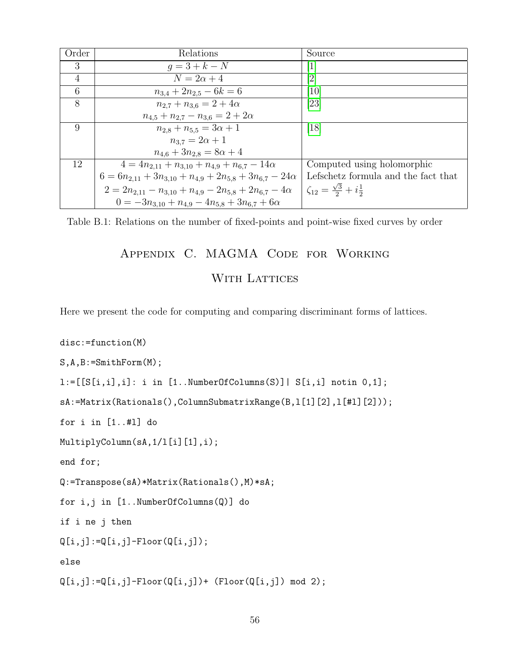| Order          | Relations                                                              | Source                                           |
|----------------|------------------------------------------------------------------------|--------------------------------------------------|
| 3              | $q = 3 + k - N$                                                        | $\mathbf{1}$                                     |
| $\overline{4}$ | $N=2\alpha+4$                                                          | [2]                                              |
| 6              | $n_{3,4} + 2n_{2,5} - 6k = 6$                                          | [10]                                             |
| 8              | $n_{2.7} + n_{3.6} = 2 + 4\alpha$                                      | [23]                                             |
|                | $n_{4,5} + n_{2,7} - n_{3,6} = 2 + 2\alpha$                            |                                                  |
| 9              | $n_{2,8} + n_{5,5} = 3\alpha + 1$                                      | $\left[18\right]$                                |
|                | $n_{3.7} = 2\alpha + 1$                                                |                                                  |
|                | $n_{4.6} + 3n_{2.8} = 8\alpha + 4$                                     |                                                  |
| 12             | $4 = 4n_{2,11} + n_{3,10} + n_{4,9} + n_{6,7} - 14\alpha$              | Computed using holomorphic                       |
|                | $6 = 6n_{2,11} + 3n_{3,10} + n_{4,9} + 2n_{5,8} + 3n_{6,7} - 24\alpha$ | Lefschetz formula and the fact that              |
|                | $2 = 2n_{2,11} - n_{3,10} + n_{4,9} - 2n_{5,8} + 2n_{6,7} - 4\alpha$   | $\zeta_{12} = \frac{\sqrt{3}}{2} + i\frac{1}{2}$ |
|                | $0 = -3n_{3,10} + n_{4,9} - 4n_{5,8} + 3n_{6,7} + 6\alpha$             |                                                  |

<span id="page-62-0"></span>Table B.1: Relations on the number of fixed-points and point-wise fixed curves by order

# <span id="page-62-1"></span>Appendix C. MAGMA Code for Working

## WITH LATTICES

Here we present the code for computing and comparing discriminant forms of lattices.

```
disc:=function(M)
S,A,B:=SmithForm(M);
l:=[[S[i,i],i]: i in [1..NumberOfColumns(S)] | S[i,i] notin 0,1];sA:=Matrix(Rationals(),ColumnSubmatrixRange(B,l[1][2],l[#l][2]));
for i in [1..#l] do
MultiplyColumn(sA,1/l[i][1],i);
end for;
Q:=Transpose(sA)*Matrix(Rationals(),M)*sA;
for i,j in [1..NumberOfColumns(Q)] do
if i ne j then
Q[i,j]:=Q[i,j]-Floor(Q[i,j]);
else
Q[i,j]:=Q[i,j]-Floor(Q[i,j])+ (Floor(Q[i,j]) mod 2);
```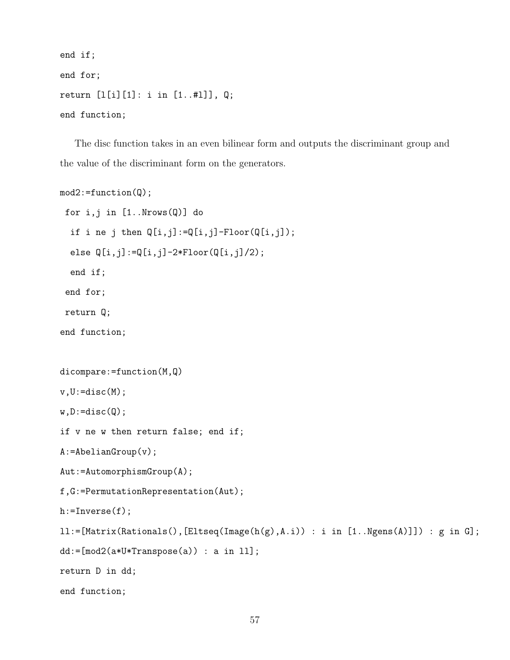```
end if;
end for;
return [l[i][1]: i in [1..#l]], Q;
end function;
```
The disc function takes in an even bilinear form and outputs the discriminant group and the value of the discriminant form on the generators.

```
mod2:=function(Q);
 for i,j in [1..Nrows(Q)] do
  if i ne j then Q[i,j]:=Q[i,j]-Floor(Q[i,j]);
  else Q[i,j]:=Q[i,j]-2*Floor(Q[i,j]/2);end if;
 end for;
 return Q;
end function;
dicompare:=function(M,Q)
v, U: = disc(M);w,D:=disc(Q);if v ne w then return false; end if;
A:=AbelianGroup(v);
Aut:=AutomorphismGroup(A);
f,G:=PermutationRepresentation(Aut);
h:=Inverse(f);
ll:=[Matrix(Rationals(),[Eltseq(Image(h(g),A.i)) : i in [1..Ngens(A)]]) : g in G];
dd:=[mod2(a*U*Transpose(a)) : a in 11];return D in dd;
end function;
```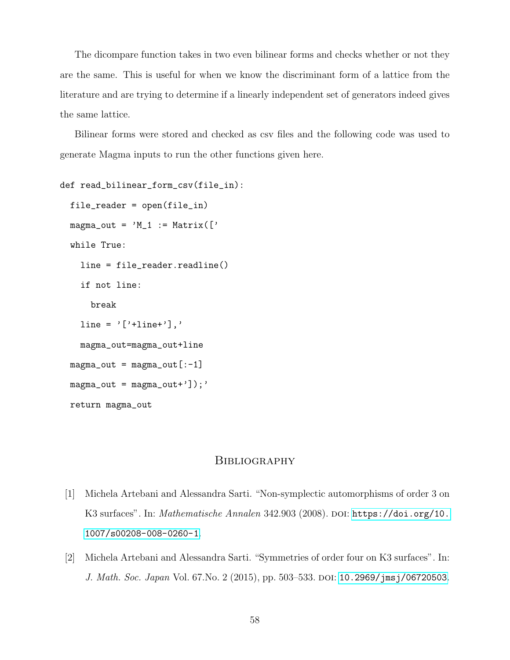The dicompare function takes in two even bilinear forms and checks whether or not they are the same. This is useful for when we know the discriminant form of a lattice from the literature and are trying to determine if a linearly independent set of generators indeed gives the same lattice.

Bilinear forms were stored and checked as csv files and the following code was used to generate Magma inputs to run the other functions given here.

```
def read_bilinear_form_csv(file_in):
  file_reader = open(file_in)
  magna_out = 'M_1 := Matrix([\cdotwhile True:
    line = file_reader.readline()
    if not line:
      break
    line = '['+line''],
    magma_out=magma_out+line
  magna_out = magna_out[-1]magna_out = magna_out+']\;;
  return magma_out
```
#### **BIBLIOGRAPHY**

- <span id="page-64-1"></span>[1] Michela Artebani and Alessandra Sarti. "Non-symplectic automorphisms of order 3 on K3 surfaces". In: Mathematische Annalen 342.903 (2008). DOI: [https://doi.org/10.](https://doi.org/https://doi.org/10.1007/s00208-008-0260-1) [1007/s00208-008-0260-1](https://doi.org/https://doi.org/10.1007/s00208-008-0260-1).
- <span id="page-64-0"></span>[2] Michela Artebani and Alessandra Sarti. "Symmetries of order four on K3 surfaces". In: J. Math. Soc. Japan Vol. 67. No. 2 (2015), pp. 503–533. DOI: [10.2969/jmsj/06720503](https://doi.org/10.2969/jmsj/06720503).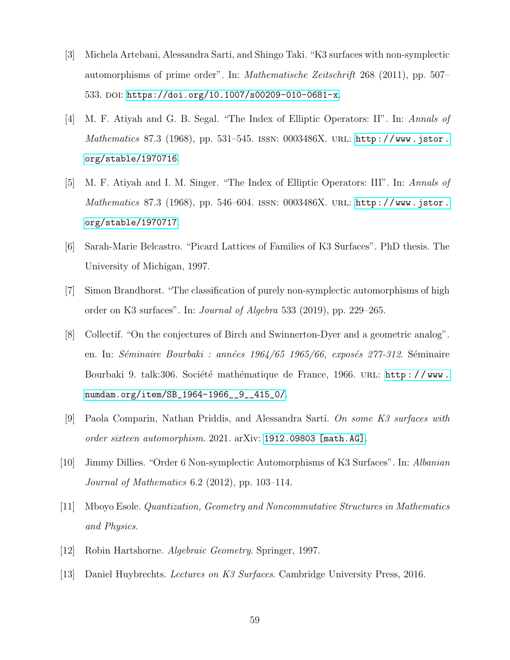- <span id="page-65-8"></span>[3] Michela Artebani, Alessandra Sarti, and Shingo Taki. "K3 surfaces with non-symplectic automorphisms of prime order". In: Mathematische Zeitschrift 268 (2011), pp. 507– 533. DOI: [https://doi.org/10.1007/s00209-010-0681-x](https://doi.org/https://doi.org/10.1007/s00209-010-0681-x).
- <span id="page-65-6"></span>[4] M. F. Atiyah and G. B. Segal. "The Index of Elliptic Operators: II". In: Annals of Mathematics 87.3 (1968), pp. 531–545. ISSN:  $0003486X$ . URL: [http://www.jstor.](http://www.jstor.org/stable/1970716) [org/stable/1970716](http://www.jstor.org/stable/1970716).
- <span id="page-65-7"></span>[5] M. F. Atiyah and I. M. Singer. "The Index of Elliptic Operators: III". In: Annals of Mathematics 87.3 (1968), pp. 546–604. ISSN: 0003486X. URL: [http://www.jstor.](http://www.jstor.org/stable/1970717) [org/stable/1970717](http://www.jstor.org/stable/1970717).
- <span id="page-65-4"></span>[6] Sarah-Marie Belcastro. "Picard Lattices of Families of K3 Surfaces". PhD thesis. The University of Michigan, 1997.
- <span id="page-65-9"></span>[7] Simon Brandhorst. "The classification of purely non-symplectic automorphisms of high order on K3 surfaces". In: Journal of Algebra 533 (2019), pp. 229–265.
- <span id="page-65-3"></span>[8] Collectif. "On the conjectures of Birch and Swinnerton-Dyer and a geometric analog". en. In: *Séminaire Bourbaki : années 1964/65 1965/66, exposés 277-312*. Séminaire Bourbaki 9. talk:306. Société mathématique de France, 1966. URL: http://www. [numdam.org/item/SB\\_1964-1966\\_\\_9\\_\\_415\\_0/](http://www.numdam.org/item/SB_1964-1966__9__415_0/).
- <span id="page-65-0"></span>[9] Paola Comparin, Nathan Priddis, and Alessandra Sarti. On some K3 surfaces with order sixteen automorphism. 2021. arXiv: [1912.09803 \[math.AG\]](https://arxiv.org/abs/1912.09803).
- <span id="page-65-5"></span>[10] Jimmy Dillies. "Order 6 Non-symplectic Automorphisms of K3 Surfaces". In: Albanian Journal of Mathematics 6.2 (2012), pp. 103–114.
- <span id="page-65-10"></span>[11] Mboyo Esole. Quantization, Geometry and Noncommutative Structures in Mathematics and Physics.
- <span id="page-65-1"></span>[12] Robin Hartshorne. Algebraic Geometry. Springer, 1997.
- <span id="page-65-2"></span>[13] Daniel Huybrechts. Lectures on K3 Surfaces. Cambridge University Press, 2016.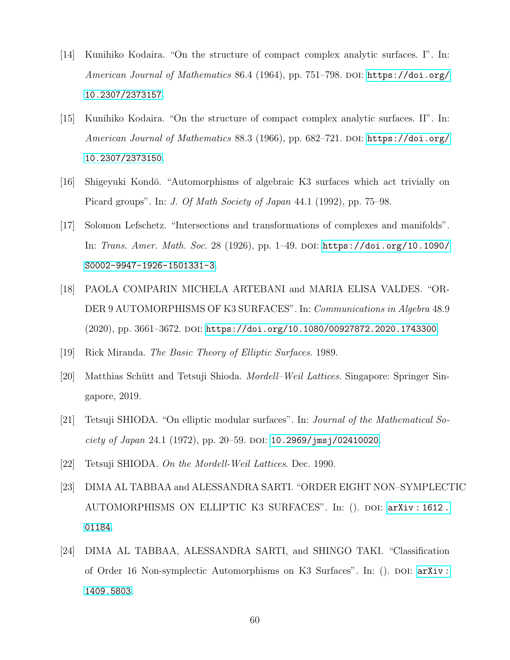- <span id="page-66-0"></span>[14] Kunihiko Kodaira. "On the structure of compact complex analytic surfaces. I". In: American Journal of Mathematics 86.4 (1964), pp. 751-798. DOI: [https://doi.org/](https://doi.org/https://doi.org/10.2307/2373157) [10.2307/2373157](https://doi.org/https://doi.org/10.2307/2373157).
- <span id="page-66-1"></span>[15] Kunihiko Kodaira. "On the structure of compact complex analytic surfaces. II". In: American Journal of Mathematics  $88.3$  (1966), pp. 682–721. DOI: [https://doi.org/](https://doi.org/https://doi.org/10.2307/2373150) [10.2307/2373150](https://doi.org/https://doi.org/10.2307/2373150).
- <span id="page-66-9"></span>[16] Shigeyuki Kond¯o. "Automorphisms of algebraic K3 surfaces which act trivially on Picard groups". In: J. Of Math Society of Japan 44.1 (1992), pp. 75–98.
- <span id="page-66-8"></span>[17] Solomon Lefschetz. "Intersections and transformations of complexes and manifolds". In: Trans. Amer. Math. Soc. 28 (1926), pp. 1–49. DOI: [https://doi.org/10.1090/](https://doi.org/https://doi.org/10.1090/S0002-9947-1926-1501331-3) [S0002-9947-1926-1501331-3](https://doi.org/https://doi.org/10.1090/S0002-9947-1926-1501331-3).
- <span id="page-66-10"></span>[18] PAOLA COMPARIN MICHELA ARTEBANI and MARIA ELISA VALDES. "OR-DER 9 AUTOMORPHISMS OF K3 SURFACES". In: Communications in Algebra 48.9  $(2020)$ , pp. 3661–3672. DOI: [https://doi.org/10.1080/00927872.2020.1743300](https://doi.org/https://doi.org/10.1080/00927872.2020.1743300).
- <span id="page-66-5"></span>[19] Rick Miranda. The Basic Theory of Elliptic Surfaces. 1989.
- <span id="page-66-2"></span>[20] Matthias Schütt and Tetsuji Shioda. *Mordell–Weil Lattices*. Singapore: Springer Singapore, 2019.
- <span id="page-66-3"></span>[21] Tetsuji SHIODA. "On elliptic modular surfaces". In: Journal of the Mathematical So-ciety of Japan 24.1 (1972), pp. 20-59. DOI: [10.2969/jmsj/02410020](https://doi.org/10.2969/jmsj/02410020).
- <span id="page-66-4"></span>[22] Tetsuji SHIODA. On the Mordell-Weil Lattices. Dec. 1990.
- <span id="page-66-7"></span>[23] DIMA AL TABBAA and ALESSANDRA SARTI. "ORDER EIGHT NON–SYMPLECTIC AUTOMORPHISMS ON ELLIPTIC K3 SURFACES". In: (). doi: [arXiv : 1612 .](https://doi.org/ arXiv:1612.01184) [01184](https://doi.org/ arXiv:1612.01184).
- <span id="page-66-6"></span>[24] DIMA AL TABBAA, ALESSANDRA SARTI, and SHINGO TAKI. "Classification of Order 16 Non-symplectic Automorphisms on K3 Surfaces". In: (). DOI:  $arXiv$ : [1409.5803](https://doi.org/arXiv:1409.5803).